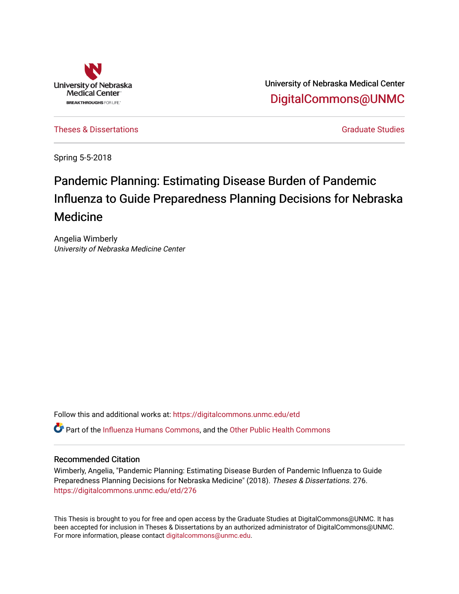

University of Nebraska Medical Center [DigitalCommons@UNMC](https://digitalcommons.unmc.edu/) 

[Theses & Dissertations](https://digitalcommons.unmc.edu/etd) [Graduate Studies](https://digitalcommons.unmc.edu/grad_studies) Control of the Graduate Studies Credit Control of the Graduate Studies

Spring 5-5-2018

# Pandemic Planning: Estimating Disease Burden of Pandemic Influenza to Guide Preparedness Planning Decisions for Nebraska Medicine

Angelia Wimberly University of Nebraska Medicine Center

Follow this and additional works at: [https://digitalcommons.unmc.edu/etd](https://digitalcommons.unmc.edu/etd?utm_source=digitalcommons.unmc.edu%2Fetd%2F276&utm_medium=PDF&utm_campaign=PDFCoverPages)

Part of the [Influenza Humans Commons](http://network.bepress.com/hgg/discipline/1069?utm_source=digitalcommons.unmc.edu%2Fetd%2F276&utm_medium=PDF&utm_campaign=PDFCoverPages), and the [Other Public Health Commons](http://network.bepress.com/hgg/discipline/748?utm_source=digitalcommons.unmc.edu%2Fetd%2F276&utm_medium=PDF&utm_campaign=PDFCoverPages) 

### Recommended Citation

Wimberly, Angelia, "Pandemic Planning: Estimating Disease Burden of Pandemic Influenza to Guide Preparedness Planning Decisions for Nebraska Medicine" (2018). Theses & Dissertations. 276. [https://digitalcommons.unmc.edu/etd/276](https://digitalcommons.unmc.edu/etd/276?utm_source=digitalcommons.unmc.edu%2Fetd%2F276&utm_medium=PDF&utm_campaign=PDFCoverPages)

This Thesis is brought to you for free and open access by the Graduate Studies at DigitalCommons@UNMC. It has been accepted for inclusion in Theses & Dissertations by an authorized administrator of DigitalCommons@UNMC. For more information, please contact [digitalcommons@unmc.edu](mailto:digitalcommons@unmc.edu).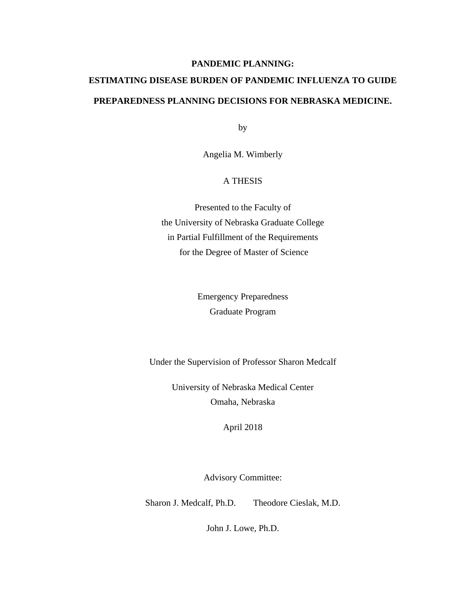## **PANDEMIC PLANNING:**

# **ESTIMATING DISEASE BURDEN OF PANDEMIC INFLUENZA TO GUIDE PREPAREDNESS PLANNING DECISIONS FOR NEBRASKA MEDICINE.**

by

Angelia M. Wimberly

### A THESIS

Presented to the Faculty of the University of Nebraska Graduate College in Partial Fulfillment of the Requirements for the Degree of Master of Science

> Emergency Preparedness Graduate Program

Under the Supervision of Professor Sharon Medcalf

University of Nebraska Medical Center Omaha, Nebraska

April 2018

Advisory Committee:

Sharon J. Medcalf, Ph.D. Theodore Cieslak, M.D.

John J. Lowe, Ph.D.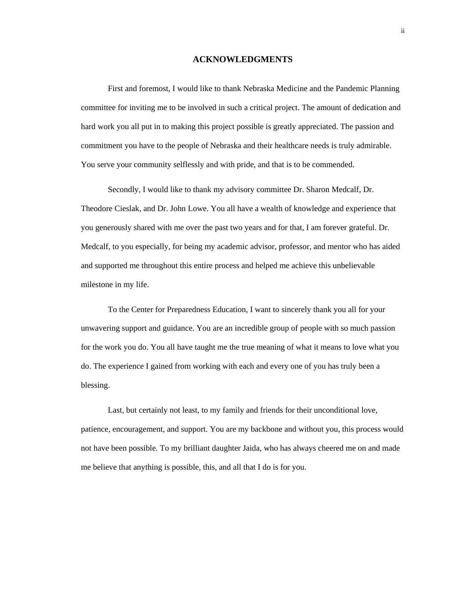#### **ACKNOWLEDGMENTS**

<span id="page-2-0"></span>First and foremost, I would like to thank Nebraska Medicine and the Pandemic Planning committee for inviting me to be involved in such a critical project. The amount of dedication and hard work you all put in to making this project possible is greatly appreciated. The passion and commitment you have to the people of Nebraska and their healthcare needs is truly admirable. You serve your community selflessly and with pride, and that is to be commended.

Secondly, I would like to thank my advisory committee Dr. Sharon Medcalf, Dr. Theodore Cieslak, and Dr. John Lowe. You all have a wealth of knowledge and experience that you generously shared with me over the past two years and for that, I am forever grateful. Dr. Medcalf, to you especially, for being my academic advisor, professor, and mentor who has aided and supported me throughout this entire process and helped me achieve this unbelievable milestone in my life.

To the Center for Preparedness Education, I want to sincerely thank you all for your unwavering support and guidance. You are an incredible group of people with so much passion for the work you do. You all have taught me the true meaning of what it means to love what you do. The experience I gained from working with each and every one of you has truly been a blessing.

Last, but certainly not least, to my family and friends for their unconditional love, patience, encouragement, and support. You are my backbone and without you, this process would not have been possible. To my brilliant daughter Jaida, who has always cheered me on and made me believe that anything is possible, this, and all that I do is for you.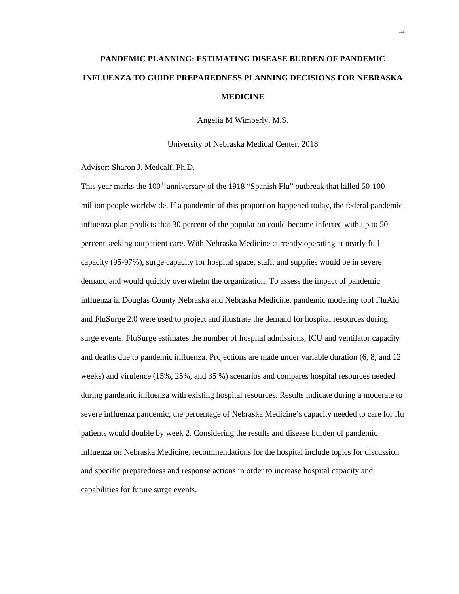# **PANDEMIC PLANNING: ESTIMATING DISEASE BURDEN OF PANDEMIC INFLUENZA TO GUIDE PREPAREDNESS PLANNING DECISIONS FOR NEBRASKA MEDICINE**

Angelia M Wimberly, M.S.

University of Nebraska Medical Center, 2018

Advisor: Sharon J. Medcalf, Ph.D.

This year marks the  $100<sup>th</sup>$  anniversary of the 1918 "Spanish Flu" outbreak that killed 50-100 million people worldwide. If a pandemic of this proportion happened today, the federal pandemic influenza plan predicts that 30 percent of the population could become infected with up to 50 percent seeking outpatient care. With Nebraska Medicine currently operating at nearly full capacity (95-97%), surge capacity for hospital space, staff, and supplies would be in severe demand and would quickly overwhelm the organization. To assess the impact of pandemic influenza in Douglas County Nebraska and Nebraska Medicine, pandemic modeling tool FluAid and FluSurge 2.0 were used to project and illustrate the demand for hospital resources during surge events. FluSurge estimates the number of hospital admissions, ICU and ventilator capacity and deaths due to pandemic influenza. Projections are made under variable duration (6, 8, and 12 weeks) and virulence (15%, 25%, and 35 %) scenarios and compares hospital resources needed during pandemic influenza with existing hospital resources. Results indicate during a moderate to severe influenza pandemic, the percentage of Nebraska Medicine's capacity needed to care for flu patients would double by week 2. Considering the results and disease burden of pandemic influenza on Nebraska Medicine, recommendations for the hospital include topics for discussion and specific preparedness and response actions in order to increase hospital capacity and capabilities for future surge events.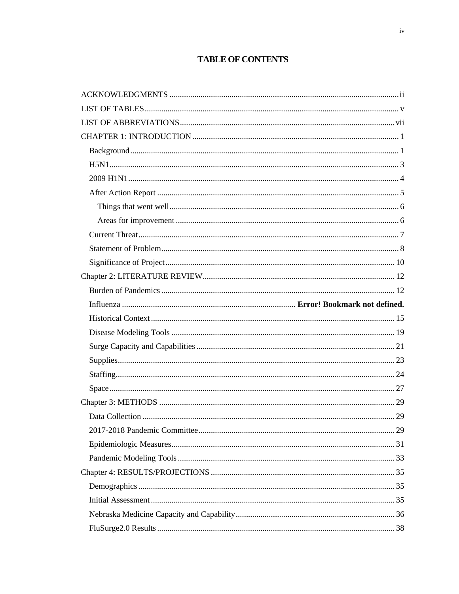# **TABLE OF CONTENTS**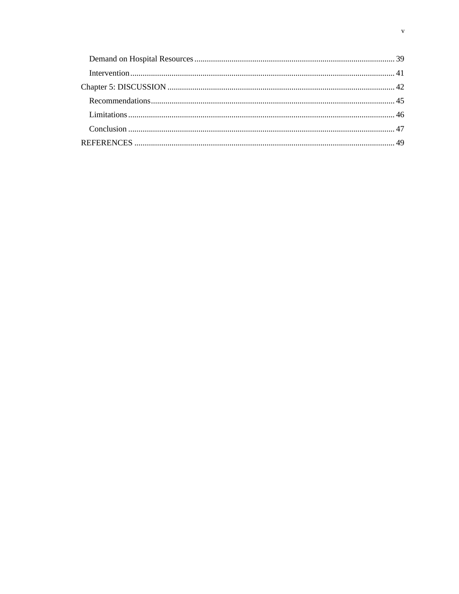<span id="page-5-0"></span>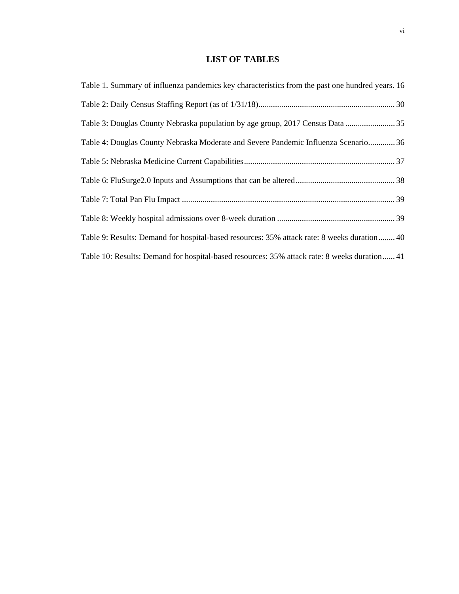# **LIST OF TABLES**

| Table 1. Summary of influenza pandemics key characteristics from the past one hundred years. 16 |
|-------------------------------------------------------------------------------------------------|
|                                                                                                 |
| Table 3: Douglas County Nebraska population by age group, 2017 Census Data  35                  |
| Table 4: Douglas County Nebraska Moderate and Severe Pandemic Influenza Scenario 36             |
|                                                                                                 |
|                                                                                                 |
|                                                                                                 |
|                                                                                                 |
| Table 9: Results: Demand for hospital-based resources: 35% attack rate: 8 weeks duration 40     |
| Table 10: Results: Demand for hospital-based resources: 35% attack rate: 8 weeks duration 41    |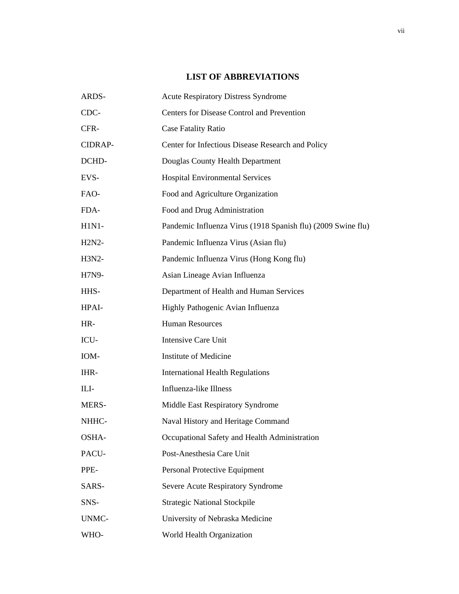# **LIST OF ABBREVIATIONS**

<span id="page-7-0"></span>

| ARDS-   | <b>Acute Respiratory Distress Syndrome</b>                   |
|---------|--------------------------------------------------------------|
| CDC-    | Centers for Disease Control and Prevention                   |
| CFR-    | <b>Case Fatality Ratio</b>                                   |
| CIDRAP- | Center for Infectious Disease Research and Policy            |
| DCHD-   | Douglas County Health Department                             |
| EVS-    | <b>Hospital Environmental Services</b>                       |
| FAO-    | Food and Agriculture Organization                            |
| FDA-    | Food and Drug Administration                                 |
| $H1N1-$ | Pandemic Influenza Virus (1918 Spanish flu) (2009 Swine flu) |
| H2N2-   | Pandemic Influenza Virus (Asian flu)                         |
| H3N2-   | Pandemic Influenza Virus (Hong Kong flu)                     |
| H7N9-   | Asian Lineage Avian Influenza                                |
| HHS-    | Department of Health and Human Services                      |
| HPAI-   | Highly Pathogenic Avian Influenza                            |
| HR-     | <b>Human Resources</b>                                       |
| ICU-    | <b>Intensive Care Unit</b>                                   |
| IOM-    | <b>Institute of Medicine</b>                                 |
| IHR-    | <b>International Health Regulations</b>                      |
| ILI-    | Influenza-like Illness                                       |
| MERS-   | Middle East Respiratory Syndrome                             |
| NHHC-   | Naval History and Heritage Command                           |
| OSHA-   | Occupational Safety and Health Administration                |
| PACU-   | Post-Anesthesia Care Unit                                    |
| PPE-    | Personal Protective Equipment                                |
| SARS-   | Severe Acute Respiratory Syndrome                            |
| SNS-    | <b>Strategic National Stockpile</b>                          |
| UNMC-   | University of Nebraska Medicine                              |
| WHO-    | World Health Organization                                    |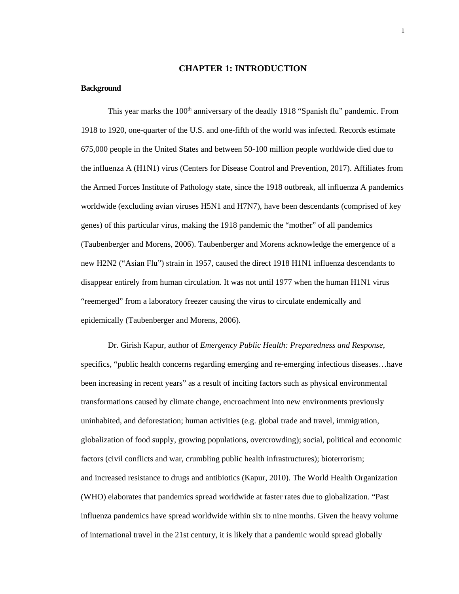#### **CHAPTER 1: INTRODUCTION**

#### <span id="page-8-1"></span><span id="page-8-0"></span>**Background**

This year marks the 100<sup>th</sup> anniversary of the deadly 1918 "Spanish flu" pandemic. From 1918 to 1920, one-quarter of the U.S. and one-fifth of the world was infected. Records estimate 675,000 people in the United States and between 50-100 million people worldwide died due to the influenza A (H1N1) virus (Centers for Disease Control and Prevention, 2017). Affiliates from the Armed Forces Institute of Pathology state, since the 1918 outbreak, all influenza A pandemics worldwide (excluding avian viruses H5N1 and H7N7), have been descendants (comprised of key genes) of this particular virus, making the 1918 pandemic the "mother" of all pandemics (Taubenberger and Morens, 2006). Taubenberger and Morens acknowledge the emergence of a new H2N2 ("Asian Flu") strain in 1957, caused the direct 1918 H1N1 influenza descendants to disappear entirely from human circulation. It was not until 1977 when the human H1N1 virus "reemerged" from a laboratory freezer causing the virus to circulate endemically and epidemically (Taubenberger and Morens, 2006).

Dr. Girish Kapur, author of *Emergency Public Health: Preparedness and Response*, specifics, "public health concerns regarding emerging and re-emerging infectious diseases...have been increasing in recent years" as a result of inciting factors such as physical environmental transformations caused by climate change, encroachment into new environments previously uninhabited, and deforestation; human activities (e.g. global trade and travel, immigration, globalization of food supply, growing populations, overcrowding); social, political and economic factors (civil conflicts and war, crumbling public health infrastructures); bioterrorism; and increased resistance to drugs and antibiotics (Kapur, 2010). The World Health Organization (WHO) elaborates that pandemics spread worldwide at faster rates due to globalization. "Past influenza pandemics have spread worldwide within six to nine months. Given the heavy volume of international travel in the 21st century, it is likely that a pandemic would spread globally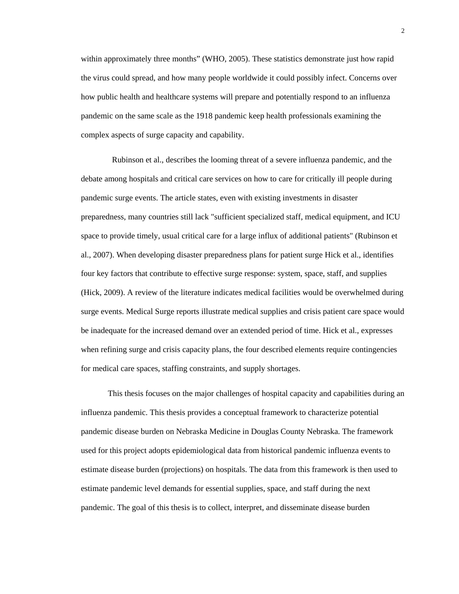within approximately three months" (WHO, 2005). These statistics demonstrate just how rapid the virus could spread, and how many people worldwide it could possibly infect. Concerns over how public health and healthcare systems will prepare and potentially respond to an influenza pandemic on the same scale as the 1918 pandemic keep health professionals examining the complex aspects of surge capacity and capability.

 Rubinson et al., describes the looming threat of a severe influenza pandemic, and the debate among hospitals and critical care services on how to care for critically ill people during pandemic surge events. The article states, even with existing investments in disaster preparedness, many countries still lack "sufficient specialized staff, medical equipment, and ICU space to provide timely, usual critical care for a large influx of additional patients" (Rubinson et al., 2007). When developing disaster preparedness plans for patient surge Hick et al., identifies four key factors that contribute to effective surge response: system, space, staff, and supplies (Hick, 2009). A review of the literature indicates medical facilities would be overwhelmed during surge events. Medical Surge reports illustrate medical supplies and crisis patient care space would be inadequate for the increased demand over an extended period of time. Hick et al., expresses when refining surge and crisis capacity plans, the four described elements require contingencies for medical care spaces, staffing constraints, and supply shortages.

This thesis focuses on the major challenges of hospital capacity and capabilities during an influenza pandemic. This thesis provides a conceptual framework to characterize potential pandemic disease burden on Nebraska Medicine in Douglas County Nebraska. The framework used for this project adopts epidemiological data from historical pandemic influenza events to estimate disease burden (projections) on hospitals. The data from this framework is then used to estimate pandemic level demands for essential supplies, space, and staff during the next pandemic. The goal of this thesis is to collect, interpret, and disseminate disease burden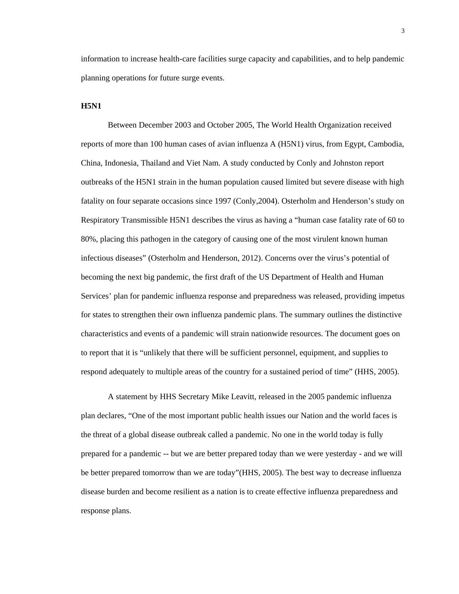information to increase health-care facilities surge capacity and capabilities, and to help pandemic planning operations for future surge events.

#### <span id="page-10-0"></span>**H5N1**

Between December 2003 and October 2005, The World Health Organization received reports of more than 100 human cases of avian influenza A (H5N1) virus, from Egypt, Cambodia, China, Indonesia, Thailand and Viet Nam. A study conducted by Conly and Johnston report outbreaks of the H5N1 strain in the human population caused limited but severe disease with high fatality on four separate occasions since 1997 (Conly,2004). Osterholm and Henderson's study on Respiratory Transmissible H5N1 describes the virus as having a "human case fatality rate of 60 to 80%, placing this pathogen in the category of causing one of the most virulent known human infectious diseases" (Osterholm and Henderson, 2012). Concerns over the virus's potential of becoming the next big pandemic, the first draft of the US Department of Health and Human Services' plan for pandemic influenza response and preparedness was released, providing impetus for states to strengthen their own influenza pandemic plans. The summary outlines the distinctive characteristics and events of a pandemic will strain nationwide resources. The document goes on to report that it is "unlikely that there will be sufficient personnel, equipment, and supplies to respond adequately to multiple areas of the country for a sustained period of time" (HHS, 2005).

A statement by HHS Secretary Mike Leavitt, released in the 2005 pandemic influenza plan declares, "One of the most important public health issues our Nation and the world faces is the threat of a global disease outbreak called a pandemic. No one in the world today is fully prepared for a pandemic -- but we are better prepared today than we were yesterday - and we will be better prepared tomorrow than we are today"(HHS, 2005). The best way to decrease influenza disease burden and become resilient as a nation is to create effective influenza preparedness and response plans.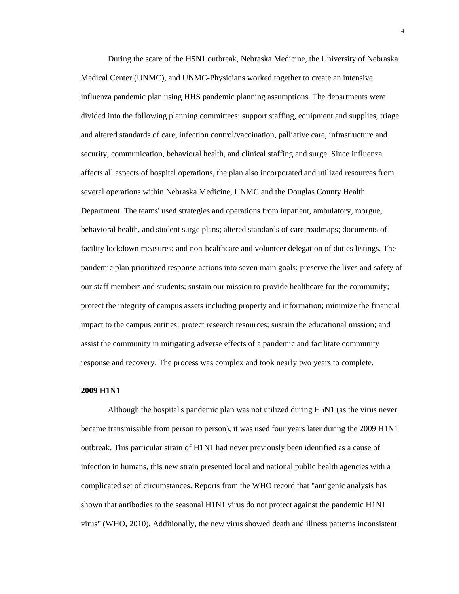During the scare of the H5N1 outbreak, Nebraska Medicine, the University of Nebraska Medical Center (UNMC), and UNMC-Physicians worked together to create an intensive influenza pandemic plan using HHS pandemic planning assumptions. The departments were divided into the following planning committees: support staffing, equipment and supplies, triage and altered standards of care, infection control/vaccination, palliative care, infrastructure and security, communication, behavioral health, and clinical staffing and surge. Since influenza affects all aspects of hospital operations, the plan also incorporated and utilized resources from several operations within Nebraska Medicine, UNMC and the Douglas County Health Department. The teams' used strategies and operations from inpatient, ambulatory, morgue, behavioral health, and student surge plans; altered standards of care roadmaps; documents of facility lockdown measures; and non-healthcare and volunteer delegation of duties listings. The pandemic plan prioritized response actions into seven main goals: preserve the lives and safety of our staff members and students; sustain our mission to provide healthcare for the community; protect the integrity of campus assets including property and information; minimize the financial impact to the campus entities; protect research resources; sustain the educational mission; and assist the community in mitigating adverse effects of a pandemic and facilitate community response and recovery. The process was complex and took nearly two years to complete.

#### <span id="page-11-0"></span>**2009 H1N1**

Although the hospital's pandemic plan was not utilized during H5N1 (as the virus never became transmissible from person to person), it was used four years later during the 2009 H1N1 outbreak. This particular strain of H1N1 had never previously been identified as a cause of infection in humans, this new strain presented local and national public health agencies with a complicated set of circumstances. Reports from the WHO record that "antigenic analysis has shown that antibodies to the seasonal H1N1 virus do not protect against the pandemic H1N1 virus" (WHO, 2010). Additionally, the new virus showed death and illness patterns inconsistent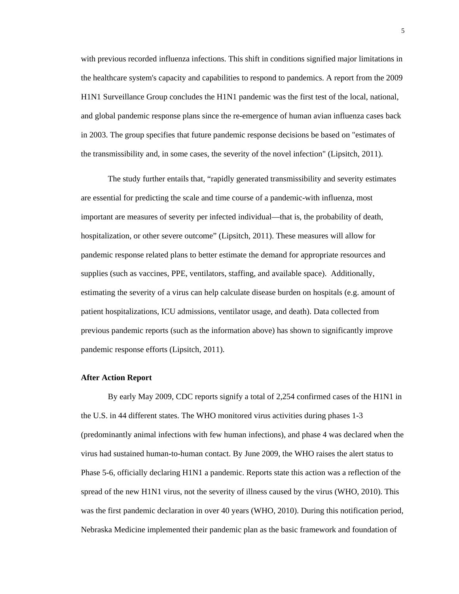with previous recorded influenza infections. This shift in conditions signified major limitations in the healthcare system's capacity and capabilities to respond to pandemics. A report from the 2009 H1N1 Surveillance Group concludes the H1N1 pandemic was the first test of the local, national, and global pandemic response plans since the re-emergence of human avian influenza cases back in 2003. The group specifies that future pandemic response decisions be based on "estimates of the transmissibility and, in some cases, the severity of the novel infection" (Lipsitch, 2011).

The study further entails that, "rapidly generated transmissibility and severity estimates are essential for predicting the scale and time course of a pandemic-with influenza, most important are measures of severity per infected individual—that is, the probability of death, hospitalization, or other severe outcome" (Lipsitch, 2011). These measures will allow for pandemic response related plans to better estimate the demand for appropriate resources and supplies (such as vaccines, PPE, ventilators, staffing, and available space). Additionally, estimating the severity of a virus can help calculate disease burden on hospitals (e.g. amount of patient hospitalizations, ICU admissions, ventilator usage, and death). Data collected from previous pandemic reports (such as the information above) has shown to significantly improve pandemic response efforts (Lipsitch, 2011).

#### <span id="page-12-0"></span>**After Action Report**

By early May 2009, CDC reports signify a total of 2,254 confirmed cases of the H1N1 in the U.S. in 44 different states. The WHO monitored virus activities during phases 1-3 (predominantly animal infections with few human infections), and phase 4 was declared when the virus had sustained human-to-human contact. By June 2009, the WHO raises the alert status to Phase 5-6, officially declaring H1N1 a pandemic. Reports state this action was a reflection of the spread of the new H1N1 virus, not the severity of illness caused by the virus (WHO, 2010). This was the first pandemic declaration in over 40 years (WHO, 2010). During this notification period, Nebraska Medicine implemented their pandemic plan as the basic framework and foundation of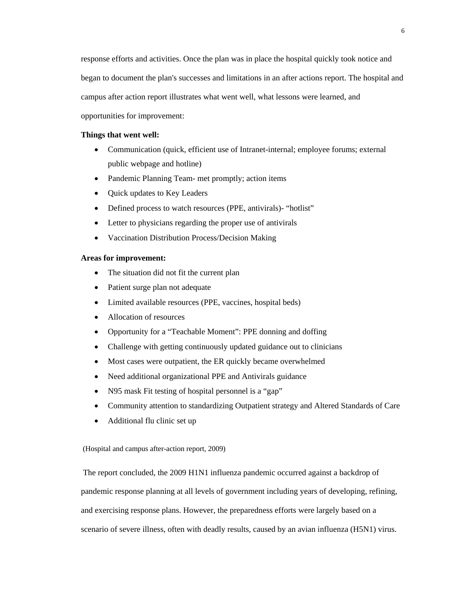response efforts and activities. Once the plan was in place the hospital quickly took notice and began to document the plan's successes and limitations in an after actions report. The hospital and campus after action report illustrates what went well, what lessons were learned, and opportunities for improvement:

#### <span id="page-13-0"></span>**Things that went well:**

- Communication (quick, efficient use of Intranet-internal; employee forums; external public webpage and hotline)
- Pandemic Planning Team- met promptly; action items
- Quick updates to Key Leaders
- Defined process to watch resources (PPE, antivirals)- "hotlist"
- Letter to physicians regarding the proper use of antivirals
- Vaccination Distribution Process/Decision Making

#### <span id="page-13-1"></span>**Areas for improvement:**

- The situation did not fit the current plan
- Patient surge plan not adequate
- Limited available resources (PPE, vaccines, hospital beds)
- Allocation of resources
- Opportunity for a "Teachable Moment": PPE donning and doffing
- Challenge with getting continuously updated guidance out to clinicians
- Most cases were outpatient, the ER quickly became overwhelmed
- Need additional organizational PPE and Antivirals guidance
- N95 mask Fit testing of hospital personnel is a "gap"
- Community attention to standardizing Outpatient strategy and Altered Standards of Care
- Additional flu clinic set up

(Hospital and campus after-action report, 2009)

The report concluded, the 2009 H1N1 influenza pandemic occurred against a backdrop of pandemic response planning at all levels of government including years of developing, refining, and exercising response plans. However, the preparedness efforts were largely based on a scenario of severe illness, often with deadly results, caused by an avian influenza (H5N1) virus.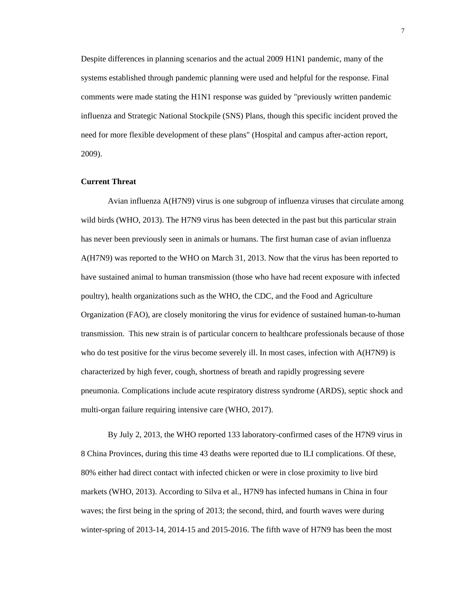Despite differences in planning scenarios and the actual 2009 H1N1 pandemic, many of the systems established through pandemic planning were used and helpful for the response. Final comments were made stating the H1N1 response was guided by "previously written pandemic influenza and Strategic National Stockpile (SNS) Plans, though this specific incident proved the need for more flexible development of these plans" (Hospital and campus after-action report, 2009).

## <span id="page-14-0"></span>**Current Threat**

Avian influenza A(H7N9) virus is one subgroup of influenza viruses that circulate among wild birds (WHO, 2013). The H7N9 virus has been detected in the past but this particular strain has never been previously seen in animals or humans. The first human case of avian influenza A(H7N9) was reported to the WHO on March 31, 2013. Now that the virus has been reported to have sustained animal to human transmission (those who have had recent exposure with infected poultry), health organizations such as the WHO, the CDC, and the Food and Agriculture Organization (FAO), are closely monitoring the virus for evidence of sustained human-to-human transmission. This new strain is of particular concern to healthcare professionals because of those who do test positive for the virus become severely ill. In most cases, infection with A(H7N9) is characterized by high fever, cough, shortness of breath and rapidly progressing severe pneumonia. Complications include acute respiratory distress syndrome (ARDS), septic shock and multi-organ failure requiring intensive care (WHO, 2017).

By July 2, 2013, the WHO reported 133 laboratory-confirmed cases of the H7N9 virus in 8 China Provinces, during this time 43 deaths were reported due to ILI complications. Of these, 80% either had direct contact with infected chicken or were in close proximity to live bird markets (WHO, 2013). According to Silva et al., H7N9 has infected humans in China in four waves; the first being in the spring of 2013; the second, third, and fourth waves were during winter-spring of 2013-14, 2014-15 and 2015-2016. The fifth wave of H7N9 has been the most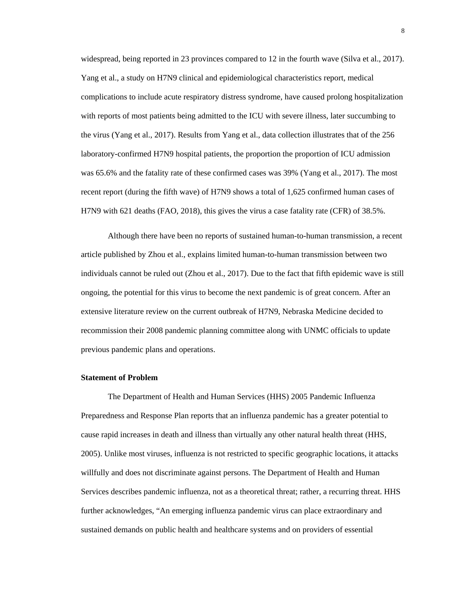widespread, being reported in 23 provinces compared to 12 in the fourth wave (Silva et al., 2017). Yang et al., a study on H7N9 clinical and epidemiological characteristics report, medical complications to include acute respiratory distress syndrome, have caused prolong hospitalization with reports of most patients being admitted to the ICU with severe illness, later succumbing to the virus (Yang et al., 2017). Results from Yang et al., data collection illustrates that of the 256 laboratory-confirmed H7N9 hospital patients, the proportion the proportion of ICU admission was 65.6% and the fatality rate of these confirmed cases was 39% (Yang et al., 2017). The most recent report (during the fifth wave) of H7N9 shows a total of 1,625 confirmed human cases of H7N9 with 621 deaths (FAO, 2018), this gives the virus a case fatality rate (CFR) of 38.5%.

Although there have been no reports of sustained human-to-human transmission, a recent article published by Zhou et al., explains limited human-to-human transmission between two individuals cannot be ruled out (Zhou et al., 2017). Due to the fact that fifth epidemic wave is still ongoing, the potential for this virus to become the next pandemic is of great concern. After an extensive literature review on the current outbreak of H7N9, Nebraska Medicine decided to recommission their 2008 pandemic planning committee along with UNMC officials to update previous pandemic plans and operations.

#### <span id="page-15-0"></span>**Statement of Problem**

The Department of Health and Human Services (HHS) 2005 Pandemic Influenza Preparedness and Response Plan reports that an influenza pandemic has a greater potential to cause rapid increases in death and illness than virtually any other natural health threat (HHS, 2005). Unlike most viruses, influenza is not restricted to specific geographic locations, it attacks willfully and does not discriminate against persons. The Department of Health and Human Services describes pandemic influenza, not as a theoretical threat; rather, a recurring threat. HHS further acknowledges, "An emerging influenza pandemic virus can place extraordinary and sustained demands on public health and healthcare systems and on providers of essential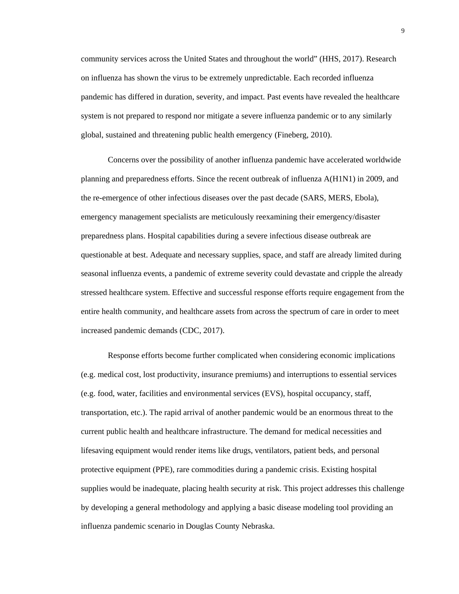community services across the United States and throughout the world" (HHS, 2017). Research on influenza has shown the virus to be extremely unpredictable. Each recorded influenza pandemic has differed in duration, severity, and impact. Past events have revealed the healthcare system is not prepared to respond nor mitigate a severe influenza pandemic or to any similarly global, sustained and threatening public health emergency (Fineberg, 2010).

Concerns over the possibility of another influenza pandemic have accelerated worldwide planning and preparedness efforts. Since the recent outbreak of influenza A(H1N1) in 2009, and the re-emergence of other infectious diseases over the past decade (SARS, MERS, Ebola), emergency management specialists are meticulously reexamining their emergency/disaster preparedness plans. Hospital capabilities during a severe infectious disease outbreak are questionable at best. Adequate and necessary supplies, space, and staff are already limited during seasonal influenza events, a pandemic of extreme severity could devastate and cripple the already stressed healthcare system. Effective and successful response efforts require engagement from the entire health community, and healthcare assets from across the spectrum of care in order to meet increased pandemic demands (CDC, 2017).

Response efforts become further complicated when considering economic implications (e.g. medical cost, lost productivity, insurance premiums) and interruptions to essential services (e.g. food, water, facilities and environmental services (EVS), hospital occupancy, staff, transportation, etc.). The rapid arrival of another pandemic would be an enormous threat to the current public health and healthcare infrastructure. The demand for medical necessities and lifesaving equipment would render items like drugs, ventilators, patient beds, and personal protective equipment (PPE), rare commodities during a pandemic crisis. Existing hospital supplies would be inadequate, placing health security at risk. This project addresses this challenge by developing a general methodology and applying a basic disease modeling tool providing an influenza pandemic scenario in Douglas County Nebraska.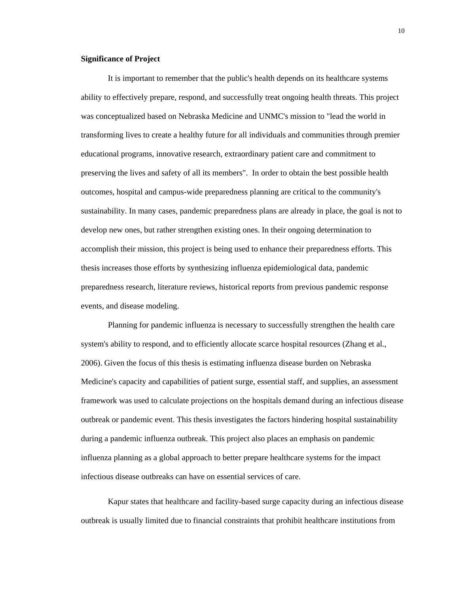#### <span id="page-17-0"></span>**Significance of Project**

It is important to remember that the public's health depends on its healthcare systems ability to effectively prepare, respond, and successfully treat ongoing health threats. This project was conceptualized based on Nebraska Medicine and UNMC's mission to "lead the world in transforming lives to create a healthy future for all individuals and communities through premier educational programs, innovative research, extraordinary patient care and commitment to preserving the lives and safety of all its members". In order to obtain the best possible health outcomes, hospital and campus-wide preparedness planning are critical to the community's sustainability. In many cases, pandemic preparedness plans are already in place, the goal is not to develop new ones, but rather strengthen existing ones. In their ongoing determination to accomplish their mission, this project is being used to enhance their preparedness efforts. This thesis increases those efforts by synthesizing influenza epidemiological data, pandemic preparedness research, literature reviews, historical reports from previous pandemic response events, and disease modeling.

Planning for pandemic influenza is necessary to successfully strengthen the health care system's ability to respond, and to efficiently allocate scarce hospital resources (Zhang et al., 2006). Given the focus of this thesis is estimating influenza disease burden on Nebraska Medicine's capacity and capabilities of patient surge, essential staff, and supplies, an assessment framework was used to calculate projections on the hospitals demand during an infectious disease outbreak or pandemic event. This thesis investigates the factors hindering hospital sustainability during a pandemic influenza outbreak. This project also places an emphasis on pandemic influenza planning as a global approach to better prepare healthcare systems for the impact infectious disease outbreaks can have on essential services of care.

Kapur states that healthcare and facility-based surge capacity during an infectious disease outbreak is usually limited due to financial constraints that prohibit healthcare institutions from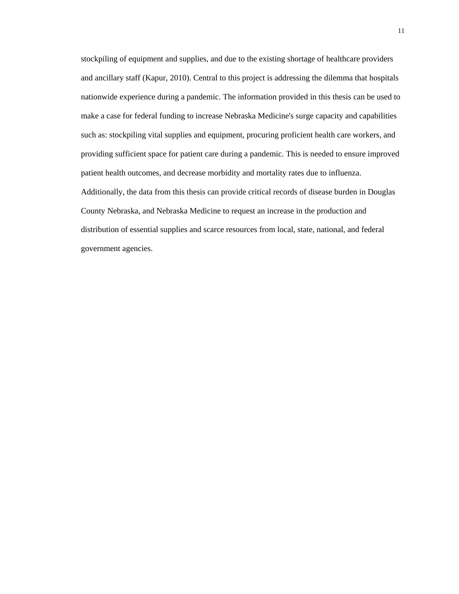stockpiling of equipment and supplies, and due to the existing shortage of healthcare providers and ancillary staff (Kapur, 2010). Central to this project is addressing the dilemma that hospitals nationwide experience during a pandemic. The information provided in this thesis can be used to make a case for federal funding to increase Nebraska Medicine's surge capacity and capabilities such as: stockpiling vital supplies and equipment, procuring proficient health care workers, and providing sufficient space for patient care during a pandemic. This is needed to ensure improved patient health outcomes, and decrease morbidity and mortality rates due to influenza. Additionally, the data from this thesis can provide critical records of disease burden in Douglas County Nebraska, and Nebraska Medicine to request an increase in the production and distribution of essential supplies and scarce resources from local, state, national, and federal government agencies.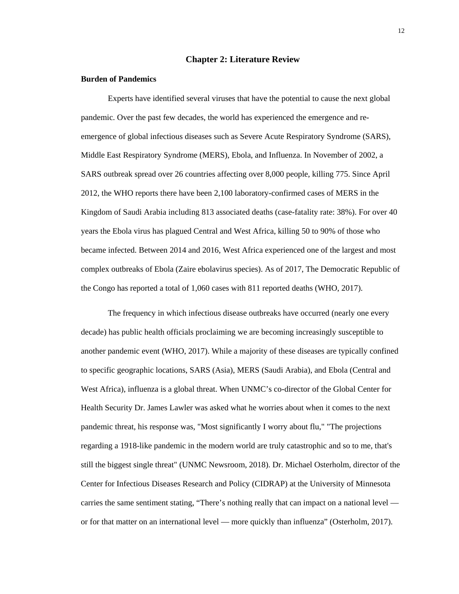#### <span id="page-19-1"></span>**Chapter 2: Literature Review**

#### <span id="page-19-0"></span>**Burden of Pandemics**

Experts have identified several viruses that have the potential to cause the next global pandemic. Over the past few decades, the world has experienced the emergence and reemergence of global infectious diseases such as Severe Acute Respiratory Syndrome (SARS), Middle East Respiratory Syndrome (MERS), Ebola, and Influenza. In November of 2002, a SARS outbreak spread over 26 countries affecting over 8,000 people, killing 775. Since April 2012, the WHO reports there have been 2,100 laboratory-confirmed cases of MERS in the Kingdom of Saudi Arabia including 813 associated deaths (case-fatality rate: 38%). For over 40 years the Ebola virus has plagued Central and West Africa, killing 50 to 90% of those who became infected. Between 2014 and 2016, West Africa experienced one of the largest and most complex outbreaks of Ebola (Zaire ebolavirus species). As of 2017, The Democratic Republic of the Congo has reported a total of 1,060 cases with 811 reported deaths (WHO, 2017).

The frequency in which infectious disease outbreaks have occurred (nearly one every decade) has public health officials proclaiming we are becoming increasingly susceptible to another pandemic event (WHO, 2017). While a majority of these diseases are typically confined to specific geographic locations, SARS (Asia), MERS (Saudi Arabia), and Ebola (Central and West Africa), influenza is a global threat. When UNMC's co-director of the Global Center for Health Security Dr. James Lawler was asked what he worries about when it comes to the next pandemic threat, his response was, "Most significantly I worry about flu," "The projections regarding a 1918-like pandemic in the modern world are truly catastrophic and so to me, that's still the biggest single threat" (UNMC Newsroom, 2018). Dr. Michael Osterholm, director of the Center for Infectious Diseases Research and Policy (CIDRAP) at the University of Minnesota carries the same sentiment stating, "There's nothing really that can impact on a national level or for that matter on an international level — more quickly than influenza" (Osterholm, 2017).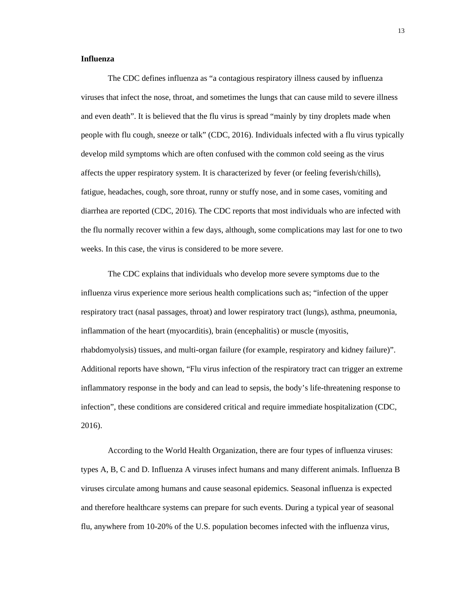#### **Influenza**

The CDC defines influenza as "a contagious respiratory illness caused by influenza viruses that infect the nose, throat, and sometimes the lungs that can cause mild to severe illness and even death". It is believed that the flu virus is spread "mainly by tiny droplets made when people with flu cough, sneeze or talk" (CDC, 2016). Individuals infected with a flu virus typically develop mild symptoms which are often confused with the common cold seeing as the virus affects the upper respiratory system. It is characterized by fever (or feeling feverish/chills), fatigue, headaches, cough, sore throat, runny or stuffy nose, and in some cases, vomiting and diarrhea are reported (CDC, 2016). The CDC reports that most individuals who are infected with the flu normally recover within a few days, although, some complications may last for one to two weeks. In this case, the virus is considered to be more severe.

The CDC explains that individuals who develop more severe symptoms due to the influenza virus experience more serious health complications such as; "infection of the upper respiratory tract (nasal passages, throat) and lower respiratory tract (lungs), asthma, pneumonia, inflammation of the heart (myocarditis), brain (encephalitis) or muscle (myositis, rhabdomyolysis) tissues, and multi-organ failure (for example, respiratory and kidney failure)". Additional reports have shown, "Flu virus infection of the respiratory tract can trigger an extreme inflammatory response in the body and can lead to sepsis, the body's life-threatening response to infection", these conditions are considered critical and require immediate hospitalization (CDC, 2016).

According to the World Health Organization, there are four types of influenza viruses: types A, B, C and D. Influenza A viruses infect humans and many different animals. Influenza B viruses circulate among humans and cause seasonal epidemics. Seasonal influenza is expected and therefore healthcare systems can prepare for such events. During a typical year of seasonal flu, anywhere from 10-20% of the U.S. population becomes infected with the influenza virus,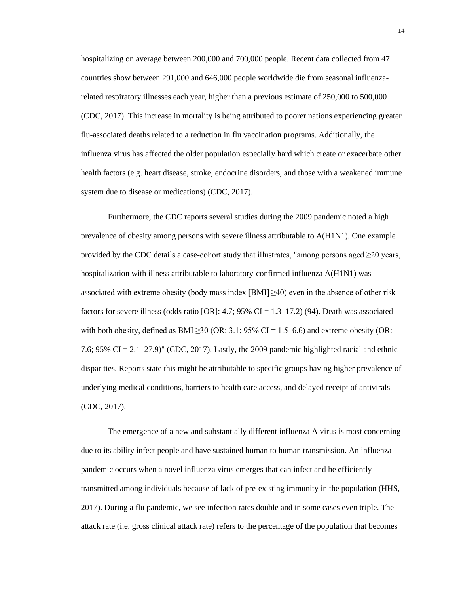hospitalizing on average between 200,000 and 700,000 people. Recent data collected from 47 countries show between 291,000 and 646,000 people worldwide die from seasonal influenzarelated respiratory illnesses each year, higher than a previous estimate of 250,000 to 500,000 (CDC, 2017). This increase in mortality is being attributed to poorer nations experiencing greater flu-associated deaths related to a reduction in flu vaccination programs. Additionally, the influenza virus has affected the older population especially hard which create or exacerbate other health factors (e.g. heart disease, stroke, endocrine disorders, and those with a weakened immune system due to disease or medications) (CDC, 2017).

Furthermore, the CDC reports several studies during the 2009 pandemic noted a high prevalence of obesity among persons with severe illness attributable to A(H1N1). One example provided by the CDC details a case-cohort study that illustrates, "among persons aged  $\geq$ 20 years, hospitalization with illness attributable to laboratory-confirmed influenza A(H1N1) was associated with extreme obesity (body mass index  $[BMI] \geq 40$ ) even in the absence of other risk factors for severe illness (odds ratio [OR]: 4.7; 95% CI = 1.3–17.2) (94). Death was associated with both obesity, defined as BMI > 30 (OR: 3.1;  $95\%$  CI = 1.5–6.6) and extreme obesity (OR: 7.6; 95% CI = 2.1–27.9)" (CDC, 2017). Lastly, the 2009 pandemic highlighted racial and ethnic disparities. Reports state this might be attributable to specific groups having higher prevalence of underlying medical conditions, barriers to health care access, and delayed receipt of antivirals (CDC, 2017).

The emergence of a new and substantially different influenza A virus is most concerning due to its ability infect people and have sustained human to human transmission. An influenza pandemic occurs when a novel influenza virus emerges that can infect and be efficiently transmitted among individuals because of lack of pre-existing immunity in the population (HHS, 2017). During a flu pandemic, we see infection rates double and in some cases even triple. The attack rate (i.e. gross clinical attack rate) refers to the percentage of the population that becomes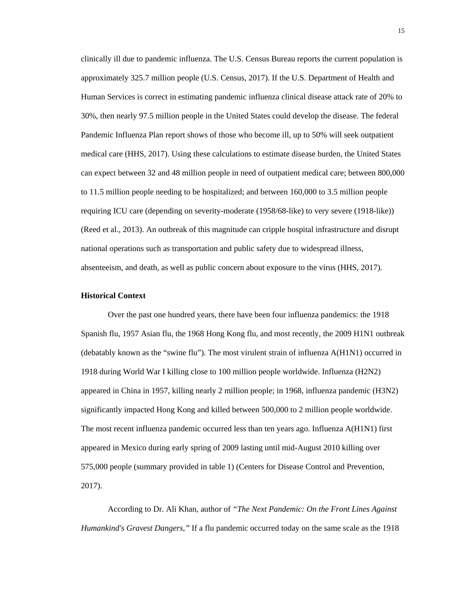clinically ill due to pandemic influenza. The U.S. Census Bureau reports the current population is approximately 325.7 million people (U.S. Census, 2017). If the U.S. Department of Health and Human Services is correct in estimating pandemic influenza clinical disease attack rate of 20% to 30%, then nearly 97.5 million people in the United States could develop the disease. The federal Pandemic Influenza Plan report shows of those who become ill, up to 50% will seek outpatient medical care (HHS, 2017). Using these calculations to estimate disease burden, the United States can expect between 32 and 48 million people in need of outpatient medical care; between 800,000 to 11.5 million people needing to be hospitalized; and between 160,000 to 3.5 million people requiring ICU care (depending on severity-moderate (1958/68-like) to very severe (1918-like)) (Reed et al., 2013). An outbreak of this magnitude can cripple hospital infrastructure and disrupt national operations such as transportation and public safety due to widespread illness, absenteeism, and death, as well as public concern about exposure to the virus (HHS, 2017).

#### <span id="page-22-0"></span>**Historical Context**

Over the past one hundred years, there have been four influenza pandemics: the 1918 Spanish flu, 1957 Asian flu, the 1968 Hong Kong flu, and most recently, the 2009 H1N1 outbreak (debatably known as the "swine flu"). The most virulent strain of influenza A(H1N1) occurred in 1918 during World War I killing close to 100 million people worldwide. Influenza (H2N2) appeared in China in 1957, killing nearly 2 million people; in 1968, influenza pandemic (H3N2) significantly impacted Hong Kong and killed between 500,000 to 2 million people worldwide. The most recent influenza pandemic occurred less than ten years ago. Influenza A(H1N1) first appeared in Mexico during early spring of 2009 lasting until mid-August 2010 killing over 575,000 people (summary provided in table 1) (Centers for Disease Control and Prevention, 2017).

According to Dr. Ali Khan, author of *"The Next Pandemic: On the Front Lines Against Humankind's Gravest Dangers,"* If a flu pandemic occurred today on the same scale as the 1918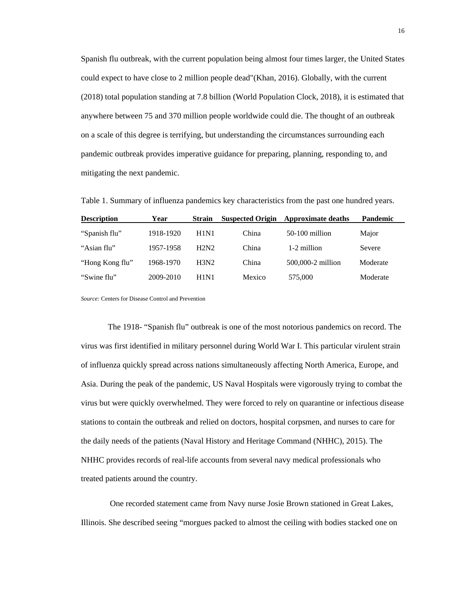Spanish flu outbreak, with the current population being almost four times larger, the United States could expect to have close to 2 million people dead"(Khan, 2016). Globally, with the current (2018) total population standing at 7.8 billion (World Population Clock, 2018), it is estimated that anywhere between 75 and 370 million people worldwide could die. The thought of an outbreak on a scale of this degree is terrifying, but understanding the circumstances surrounding each pandemic outbreak provides imperative guidance for preparing, planning, responding to, and mitigating the next pandemic.

<span id="page-23-0"></span>Table 1. Summary of influenza pandemics key characteristics from the past one hundred years.

| <b>Description</b> | Year      | <b>Strain</b> | <b>Suspected Origin</b> | <b>Approximate deaths</b> | <b>Pandemic</b> |
|--------------------|-----------|---------------|-------------------------|---------------------------|-----------------|
| "Spanish flu"      | 1918-1920 | H1N1          | China                   | $50-100$ million          | Major           |
| "Asian flu"        | 1957-1958 | H2N2          | China                   | 1-2 million               | Severe          |
| "Hong Kong flu"    | 1968-1970 | H3N2          | China                   | 500,000-2 million         | Moderate        |
| "Swine flu"        | 2009-2010 | H1N1          | Mexico                  | 575,000                   | Moderate        |

*Source:* Centers for Disease Control and Prevention

The 1918- "Spanish flu" outbreak is one of the most notorious pandemics on record. The virus was first identified in military personnel during World War I. This particular virulent strain of influenza quickly spread across nations simultaneously affecting North America, Europe, and Asia. During the peak of the pandemic, US Naval Hospitals were vigorously trying to combat the virus but were quickly overwhelmed. They were forced to rely on quarantine or infectious disease stations to contain the outbreak and relied on doctors, hospital corpsmen, and nurses to care for the daily needs of the patients (Naval History and Heritage Command (NHHC), 2015). The NHHC provides records of real-life accounts from several navy medical professionals who treated patients around the country.

One recorded statement came from Navy nurse Josie Brown stationed in Great Lakes, Illinois. She described seeing "morgues packed to almost the ceiling with bodies stacked one on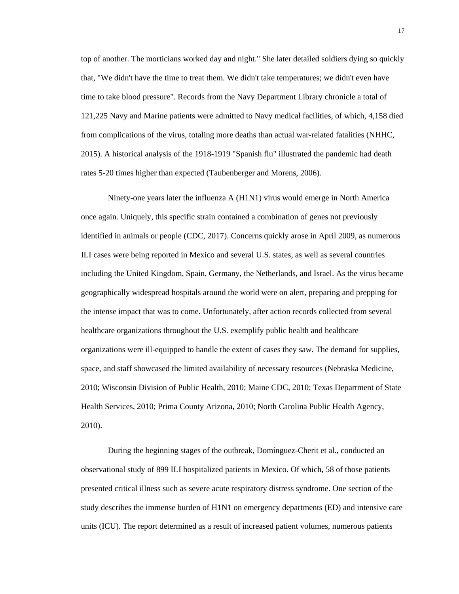top of another. The morticians worked day and night." She later detailed soldiers dying so quickly that, "We didn't have the time to treat them. We didn't take temperatures; we didn't even have time to take blood pressure". Records from the Navy Department Library chronicle a total of 121,225 Navy and Marine patients were admitted to Navy medical facilities, of which, 4,158 died from complications of the virus, totaling more deaths than actual war-related fatalities (NHHC, 2015). A historical analysis of the 1918-1919 "Spanish flu" illustrated the pandemic had death rates 5-20 times higher than expected (Taubenberger and Morens, 2006).

Ninety-one years later the influenza A (H1N1) virus would emerge in North America once again. Uniquely, this specific strain contained a combination of genes not previously identified in animals or people (CDC, 2017). Concerns quickly arose in April 2009, as numerous ILI cases were being reported in Mexico and several U.S. states, as well as several countries including the United Kingdom, Spain, Germany, the Netherlands, and Israel. As the virus became geographically widespread hospitals around the world were on alert, preparing and prepping for the intense impact that was to come. Unfortunately, after action records collected from several healthcare organizations throughout the U.S. exemplify public health and healthcare organizations were ill-equipped to handle the extent of cases they saw. The demand for supplies, space, and staff showcased the limited availability of necessary resources (Nebraska Medicine, 2010; Wisconsin Division of Public Health, 2010; Maine CDC, 2010; Texas Department of State Health Services, 2010; Prima County Arizona, 2010; North Carolina Public Health Agency, 2010).

During the beginning stages of the outbreak, Domínguez-Cherit et al., conducted an observational study of 899 ILI hospitalized patients in Mexico. Of which, 58 of those patients presented critical illness such as severe acute respiratory distress syndrome. One section of the study describes the immense burden of H1N1 on emergency departments (ED) and intensive care units (ICU). The report determined as a result of increased patient volumes, numerous patients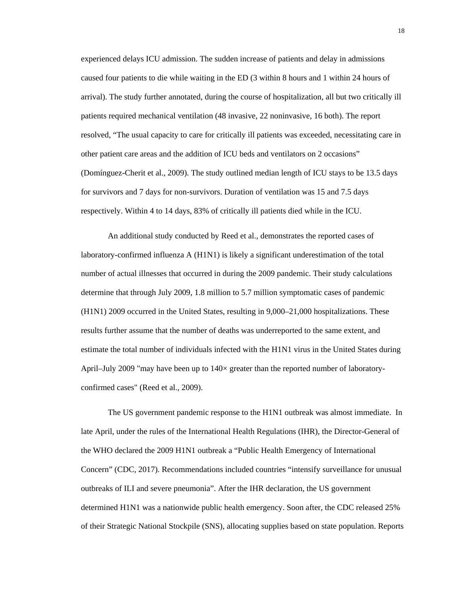experienced delays ICU admission. The sudden increase of patients and delay in admissions caused four patients to die while waiting in the ED (3 within 8 hours and 1 within 24 hours of arrival). The study further annotated, during the course of hospitalization, all but two critically ill patients required mechanical ventilation (48 invasive, 22 noninvasive, 16 both). The report resolved, "The usual capacity to care for critically ill patients was exceeded, necessitating care in other patient care areas and the addition of ICU beds and ventilators on 2 occasions" (Domínguez-Cherit et al., 2009). The study outlined median length of ICU stays to be 13.5 days for survivors and 7 days for non-survivors. Duration of ventilation was 15 and 7.5 days respectively. Within 4 to 14 days, 83% of critically ill patients died while in the ICU.

An additional study conducted by Reed et al., demonstrates the reported cases of laboratory-confirmed influenza A (H1N1) is likely a significant underestimation of the total number of actual illnesses that occurred in during the 2009 pandemic. Their study calculations determine that through July 2009, 1.8 million to 5.7 million symptomatic cases of pandemic (H1N1) 2009 occurred in the United States, resulting in 9,000–21,000 hospitalizations. These results further assume that the number of deaths was underreported to the same extent, and estimate the total number of individuals infected with the H1N1 virus in the United States during April–July 2009 "may have been up to  $140\times$  greater than the reported number of laboratoryconfirmed cases" (Reed et al., 2009).

The US government pandemic response to the H1N1 outbreak was almost immediate. In late April, under the rules of the International Health Regulations (IHR), [the Director-General of](http://www.who.int/mediacentre/news/statements/2009/h1n1_20090425/en/index.html)  [the WHO declared the 2009 H1N1 outbreak a "Public Health Emergency of International](http://www.who.int/mediacentre/news/statements/2009/h1n1_20090425/en/index.html)  [Concern"](http://www.who.int/mediacentre/news/statements/2009/h1n1_20090425/en/index.html) (CDC, 2017). Recommendations included countries "intensify surveillance for unusual outbreaks of ILI and severe pneumonia". After the IHR declaration, the US government determined H1N1 was a nationwide public health emergency. Soon after, the CDC released 25% of their Strategic National Stockpile (SNS), allocating supplies based on state population. Reports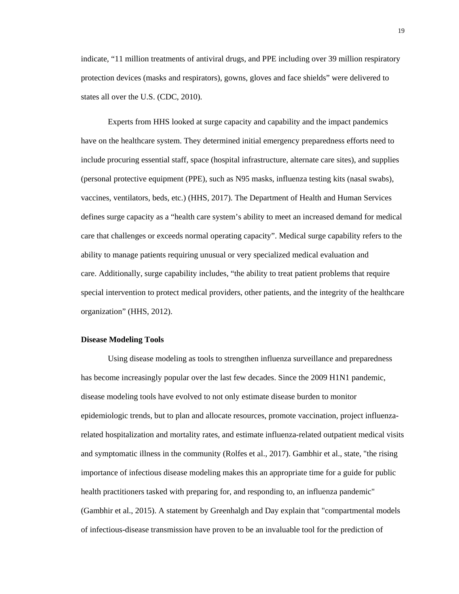indicate, "11 million treatments of [antiviral](https://www.cdc.gov/flu/about/qa/antiviral.htm) drugs, and PPE including over 39 million respiratory protection devices (masks and respirators), gowns, gloves and face shields" were delivered to states all over the U.S. (CDC, 2010).

Experts from HHS looked at surge capacity and capability and the impact pandemics have on the healthcare system. They determined initial emergency preparedness efforts need to include procuring essential staff, space (hospital infrastructure, alternate care sites), and supplies (personal protective equipment (PPE), such as N95 masks, influenza testing kits (nasal swabs), vaccines, ventilators, beds, etc.) (HHS, 2017). The Department of Health and Human Services defines surge capacity as a "health care system's ability to meet an increased demand for medical care that challenges or exceeds normal operating capacity". Medical surge capability refers to the ability to manage patients requiring unusual or very specialized medical evaluation and care. Additionally, surge capability includes, "the ability to treat patient problems that require special intervention to protect medical providers, other patients, and the integrity of the healthcare organization" (HHS, 2012).

#### <span id="page-26-0"></span>**Disease Modeling Tools**

Using disease modeling as tools to strengthen influenza surveillance and preparedness has become increasingly popular over the last few decades. Since the 2009 H1N1 pandemic, disease modeling tools have evolved to not only estimate disease burden to monitor epidemiologic trends, but to plan and allocate resources, promote vaccination, project influenzarelated hospitalization and mortality rates, and estimate influenza-related outpatient medical visits and symptomatic illness in the community (Rolfes et al., 2017). Gambhir et al., state, "the rising importance of infectious disease modeling makes this an appropriate time for a guide for public health practitioners tasked with preparing for, and responding to, an influenza pandemic" (Gambhir et al., 2015). A statement by Greenhalgh and Day explain that "compartmental models of infectious-disease transmission have proven to be an invaluable tool for the prediction of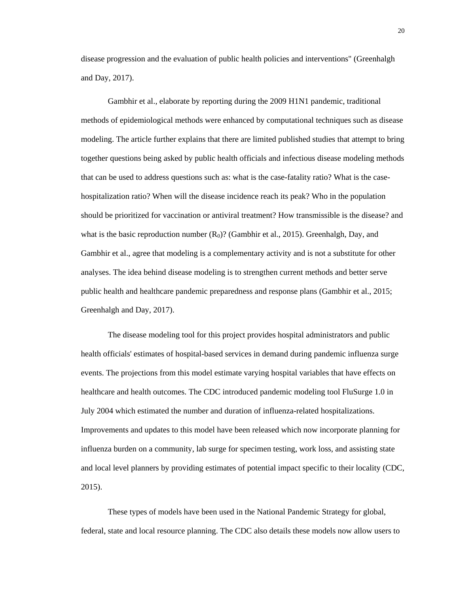disease progression and the evaluation of public health policies and interventions" (Greenhalgh and Day, 2017).

Gambhir et al., elaborate by reporting during the 2009 H1N1 pandemic, traditional methods of epidemiological methods were enhanced by computational techniques such as disease modeling. The article further explains that there are limited published studies that attempt to bring together questions being asked by public health officials and infectious disease modeling methods that can be used to address questions such as: what is the case-fatality ratio? What is the casehospitalization ratio? When will the disease incidence reach its peak? Who in the population should be prioritized for vaccination or antiviral treatment? How transmissible is the disease? and what is the basic reproduction number  $(R_0)$ ? (Gambhir et al., 2015). Greenhalgh, Day, and Gambhir et al., agree that modeling is a complementary activity and is not a substitute for other analyses. The idea behind disease modeling is to strengthen current methods and better serve public health and healthcare pandemic preparedness and response plans (Gambhir et al., 2015; Greenhalgh and Day, 2017).

The disease modeling tool for this project provides hospital administrators and public health officials' estimates of hospital-based services in demand during pandemic influenza surge events. The projections from this model estimate varying hospital variables that have effects on healthcare and health outcomes. The CDC introduced pandemic modeling tool FluSurge 1.0 in July 2004 which estimated the number and duration of influenza-related hospitalizations. Improvements and updates to this model have been released which now incorporate planning for influenza burden on a community, lab surge for specimen testing, work loss, and assisting state and local level planners by providing estimates of potential impact specific to their locality (CDC, 2015).

These types of models have been used in the National Pandemic Strategy for global, federal, state and local resource planning. The CDC also details these models now allow users to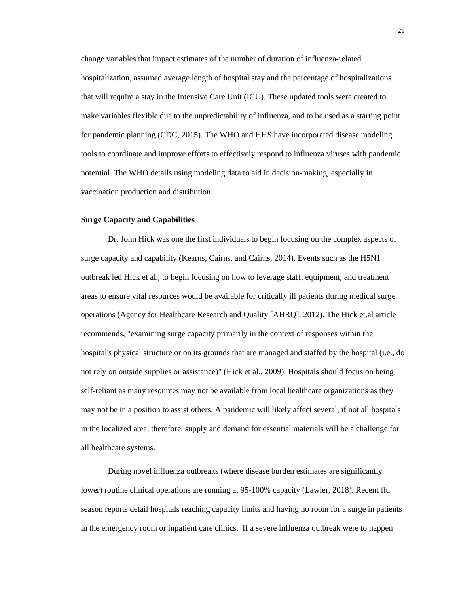change variables that impact estimates of the number of duration of influenza-related hospitalization, assumed average length of hospital stay and the percentage of hospitalizations that will require a stay in the Intensive Care Unit (ICU). These updated tools were created to make variables flexible due to the unpredictability of influenza, and to be used as a starting point for pandemic planning (CDC, 2015). The WHO and HHS have incorporated disease modeling tools to coordinate and improve efforts to effectively respond to influenza viruses with pandemic potential. The WHO details using modeling data to aid in decision-making, especially in vaccination production and distribution.

#### <span id="page-28-0"></span>**Surge Capacity and Capabilities**

Dr. John Hick was one the first individuals to begin focusing on the complex aspects of surge capacity and capability (Kearns, Cairns, and Cairns, 2014). Events such as the H5N1 outbreak led Hick et al., to begin focusing on how to leverage staff, equipment, and treatment areas to ensure vital resources would be available for critically ill patients during medical surge operations (Agency for Healthcare Research and Quality [AHRQ], 2012). The Hick et.al article recommends, "examining surge capacity primarily in the context of responses within the hospital's physical structure or on its grounds that are managed and staffed by the hospital (i.e., do not rely on outside supplies or assistance)" (Hick et al., 2009). Hospitals should focus on being self-reliant as many resources may not be available from local healthcare organizations as they may not be in a position to assist others. A pandemic will likely affect several, if not all hospitals in the localized area, therefore, supply and demand for essential materials will be a challenge for all healthcare systems.

During novel influenza outbreaks (where disease burden estimates are significantly lower) routine clinical operations are running at 95-100% capacity (Lawler, 2018). Recent flu season reports detail hospitals reaching capacity limits and having no room for a surge in patients in the emergency room or inpatient care clinics. If a severe influenza outbreak were to happen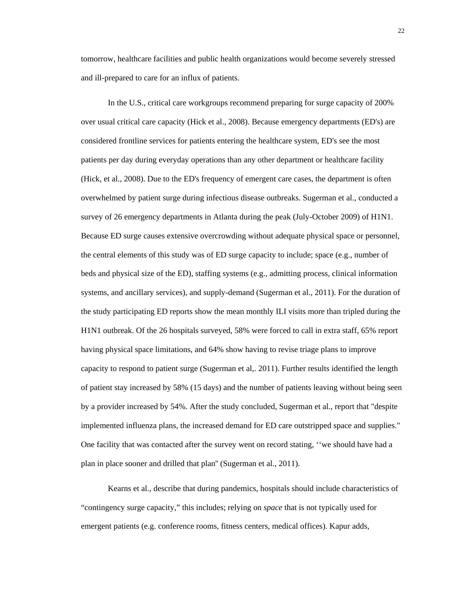tomorrow, healthcare facilities and public health organizations would become severely stressed and ill-prepared to care for an influx of patients.

In the U.S., critical care workgroups recommend preparing for surge capacity of 200% over usual critical care capacity (Hick et al., 2008). Because emergency departments (ED's) are considered frontline services for patients entering the healthcare system, ED's see the most patients per day during everyday operations than any other department or healthcare facility (Hick, et al., 2008). Due to the ED's frequency of emergent care cases, the department is often overwhelmed by patient surge during infectious disease outbreaks. Sugerman et al., conducted a survey of 26 emergency departments in Atlanta during the peak (July-October 2009) of H1N1. Because ED surge causes extensive overcrowding without adequate physical space or personnel, the central elements of this study was of ED surge capacity to include; space (e.g., number of beds and physical size of the ED), staffing systems (e.g., admitting process, clinical information systems, and ancillary services), and supply-demand (Sugerman et al., 2011). For the duration of the study participating ED reports show the mean monthly ILI visits more than tripled during the H1N1 outbreak. Of the 26 hospitals surveyed, 58% were forced to call in extra staff, 65% report having physical space limitations, and 64% show having to revise triage plans to improve capacity to respond to patient surge (Sugerman et al,. 2011). Further results identified the length of patient stay increased by 58% (15 days) and the number of patients leaving without being seen by a provider increased by 54%. After the study concluded, Sugerman et al., report that "despite implemented influenza plans, the increased demand for ED care outstripped space and supplies." One facility that was contacted after the survey went on record stating, ''we should have had a plan in place sooner and drilled that plan'' (Sugerman et al., 2011).

Kearns et al., describe that during pandemics, hospitals should include characteristics of "contingency surge capacity," this includes; relying on *space* that is not typically used for emergent patients (e.g. conference rooms, fitness centers, medical offices). Kapur adds,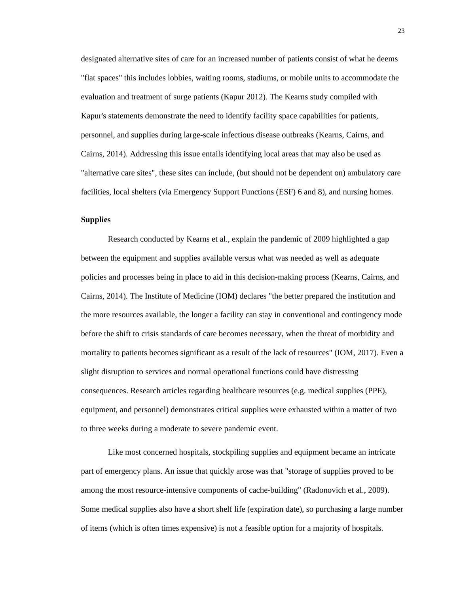designated alternative sites of care for an increased number of patients consist of what he deems "flat spaces" this includes lobbies, waiting rooms, stadiums, or mobile units to accommodate the evaluation and treatment of surge patients (Kapur 2012). The Kearns study compiled with Kapur's statements demonstrate the need to identify facility space capabilities for patients, personnel, and supplies during large-scale infectious disease outbreaks (Kearns, Cairns, and Cairns, 2014). Addressing this issue entails identifying local areas that may also be used as "alternative care sites", these sites can include, (but should not be dependent on) ambulatory care facilities, local shelters (via Emergency Support Functions (ESF) 6 and 8), and nursing homes.

#### <span id="page-30-0"></span>**Supplies**

Research conducted by Kearns et al., explain the pandemic of 2009 highlighted a gap between the equipment and supplies available versus what was needed as well as adequate policies and processes being in place to aid in this decision-making process (Kearns, Cairns, and Cairns, 2014). The Institute of Medicine (IOM) declares "the better prepared the institution and the more resources available, the longer a facility can stay in conventional and contingency mode before the shift to crisis standards of care becomes necessary, when the threat of morbidity and mortality to patients becomes significant as a result of the lack of resources" (IOM, 2017). Even a slight disruption to services and normal operational functions could have distressing consequences. Research articles regarding healthcare resources (e.g. medical supplies (PPE), equipment, and personnel) demonstrates critical supplies were exhausted within a matter of two to three weeks during a moderate to severe pandemic event.

Like most concerned hospitals, stockpiling supplies and equipment became an intricate part of emergency plans. An issue that quickly arose was that "storage of supplies proved to be among the most resource-intensive components of cache-building" (Radonovich et al., 2009). Some medical supplies also have a short shelf life (expiration date), so purchasing a large number of items (which is often times expensive) is not a feasible option for a majority of hospitals.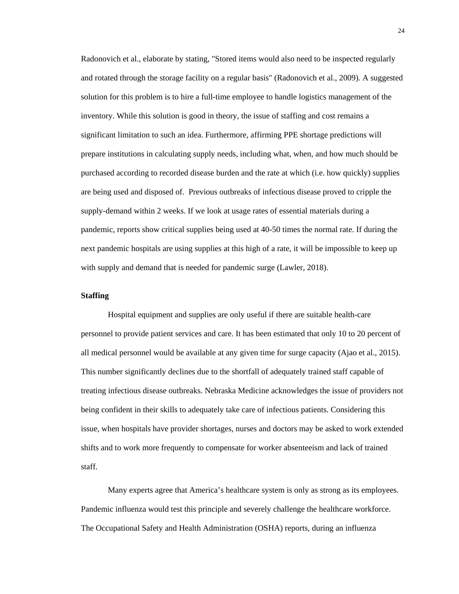Radonovich et al., elaborate by stating, "Stored items would also need to be inspected regularly and rotated through the storage facility on a regular basis" (Radonovich et al., 2009). A suggested solution for this problem is to hire a full-time employee to handle logistics management of the inventory. While this solution is good in theory, the issue of staffing and cost remains a significant limitation to such an idea. Furthermore, affirming PPE shortage predictions will prepare institutions in calculating supply needs, including what, when, and how much should be purchased according to recorded disease burden and the rate at which (i.e. how quickly) supplies are being used and disposed of. Previous outbreaks of infectious disease proved to cripple the supply-demand within 2 weeks. If we look at usage rates of essential materials during a pandemic, reports show critical supplies being used at 40-50 times the normal rate. If during the next pandemic hospitals are using supplies at this high of a rate, it will be impossible to keep up with supply and demand that is needed for pandemic surge (Lawler, 2018).

#### <span id="page-31-0"></span>**Staffing**

Hospital equipment and supplies are only useful if there are suitable health-care personnel to provide patient services and care. It has been estimated that only 10 to 20 percent of all medical personnel would be available at any given time for surge capacity (Ajao et al., 2015). This number significantly declines due to the shortfall of adequately trained staff capable of treating infectious disease outbreaks. Nebraska Medicine acknowledges the issue of providers not being confident in their skills to adequately take care of infectious patients. Considering this issue, when hospitals have provider shortages, nurses and doctors may be asked to work extended shifts and to work more frequently to compensate for worker absenteeism and lack of trained staff.

Many experts agree that America's healthcare system is only as strong as its employees. Pandemic influenza would test this principle and severely challenge the healthcare workforce. The Occupational Safety and Health Administration (OSHA) reports, during an influenza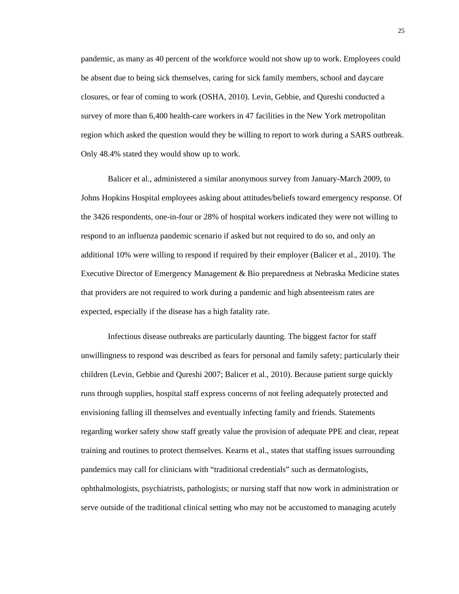pandemic, as many as 40 percent of the workforce would not show up to work. Employees could be absent due to being sick themselves, caring for sick family members, school and daycare closures, or fear of coming to work (OSHA, 2010). Levin, Gebbie, and Qureshi conducted a survey of more than 6,400 health-care workers in 47 facilities in the New York metropolitan region which asked the question would they be willing to report to work during a SARS outbreak. Only 48.4% stated they would show up to work.

Balicer et al., administered a similar anonymous survey from January-March 2009, to Johns Hopkins Hospital employees asking about attitudes/beliefs toward emergency response. Of the 3426 respondents, one-in-four or 28% of hospital workers indicated they were not willing to respond to an influenza pandemic scenario if asked but not required to do so, and only an additional 10% were willing to respond if required by their employer (Balicer et al., 2010). The Executive Director of Emergency Management & Bio preparedness at Nebraska Medicine states that providers are not required to work during a pandemic and high absenteeism rates are expected, especially if the disease has a high fatality rate.

Infectious disease outbreaks are particularly daunting. The biggest factor for staff unwillingness to respond was described as fears for personal and family safety; particularly their children (Levin, Gebbie and Qureshi 2007; Balicer et al., 2010). Because patient surge quickly runs through supplies, hospital staff express concerns of not feeling adequately protected and envisioning falling ill themselves and eventually infecting family and friends. Statements regarding worker safety show staff greatly value the provision of adequate PPE and clear, repeat training and routines to protect themselves. Kearns et al., states that staffing issues surrounding pandemics may call for clinicians with "traditional credentials" such as dermatologists, ophthalmologists, psychiatrists, pathologists; or nursing staff that now work in administration or serve outside of the traditional clinical setting who may not be accustomed to managing acutely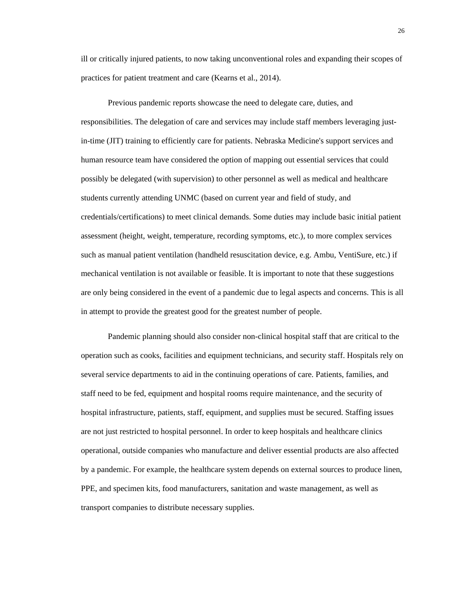ill or critically injured patients, to now taking unconventional roles and expanding their scopes of practices for patient treatment and care (Kearns et al., 2014).

Previous pandemic reports showcase the need to delegate care, duties, and responsibilities. The delegation of care and services may include staff members leveraging justin-time (JIT) training to efficiently care for patients. Nebraska Medicine's support services and human resource team have considered the option of mapping out essential services that could possibly be delegated (with supervision) to other personnel as well as medical and healthcare students currently attending UNMC (based on current year and field of study, and credentials/certifications) to meet clinical demands. Some duties may include basic initial patient assessment (height, weight, temperature, recording symptoms, etc.), to more complex services such as manual patient ventilation (handheld resuscitation device, e.g. Ambu, VentiSure, etc.) if mechanical ventilation is not available or feasible. It is important to note that these suggestions are only being considered in the event of a pandemic due to legal aspects and concerns. This is all in attempt to provide the greatest good for the greatest number of people.

Pandemic planning should also consider non-clinical hospital staff that are critical to the operation such as cooks, facilities and equipment technicians, and security staff. Hospitals rely on several service departments to aid in the continuing operations of care. Patients, families, and staff need to be fed, equipment and hospital rooms require maintenance, and the security of hospital infrastructure, patients, staff, equipment, and supplies must be secured. Staffing issues are not just restricted to hospital personnel. In order to keep hospitals and healthcare clinics operational, outside companies who manufacture and deliver essential products are also affected by a pandemic. For example, the healthcare system depends on external sources to produce linen, PPE, and specimen kits, food manufacturers, sanitation and waste management, as well as transport companies to distribute necessary supplies.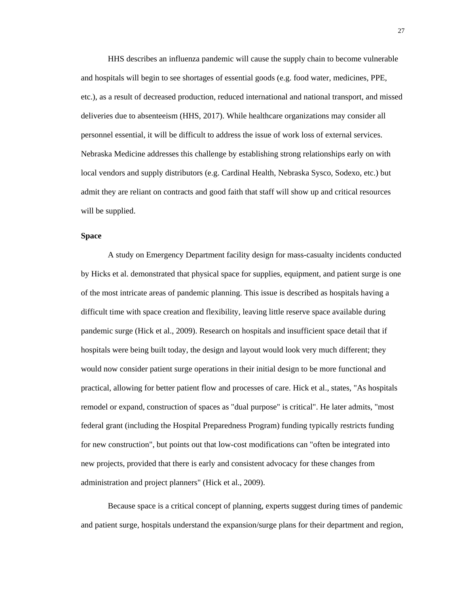HHS describes an influenza pandemic will cause the supply chain to become vulnerable and hospitals will begin to see shortages of essential goods (e.g. food water, medicines, PPE, etc.), as a result of decreased production, reduced international and national transport, and missed deliveries due to absenteeism (HHS, 2017). While healthcare organizations may consider all personnel essential, it will be difficult to address the issue of work loss of external services. Nebraska Medicine addresses this challenge by establishing strong relationships early on with local vendors and supply distributors (e.g. Cardinal Health, Nebraska Sysco, Sodexo, etc.) but admit they are reliant on contracts and good faith that staff will show up and critical resources will be supplied.

### <span id="page-34-0"></span>**Space**

A study on Emergency Department facility design for mass-casualty incidents conducted by Hicks et al. demonstrated that physical space for supplies, equipment, and patient surge is one of the most intricate areas of pandemic planning. This issue is described as hospitals having a difficult time with space creation and flexibility, leaving little reserve space available during pandemic surge (Hick et al., 2009). Research on hospitals and insufficient space detail that if hospitals were being built today, the design and layout would look very much different; they would now consider patient surge operations in their initial design to be more functional and practical, allowing for better patient flow and processes of care. Hick et al., states, "As hospitals remodel or expand, construction of spaces as "dual purpose" is critical". He later admits, "most federal grant (including the Hospital Preparedness Program) funding typically restricts funding for new construction", but points out that low-cost modifications can "often be integrated into new projects, provided that there is early and consistent advocacy for these changes from administration and project planners" (Hick et al., 2009).

Because space is a critical concept of planning, experts suggest during times of pandemic and patient surge, hospitals understand the expansion/surge plans for their department and region,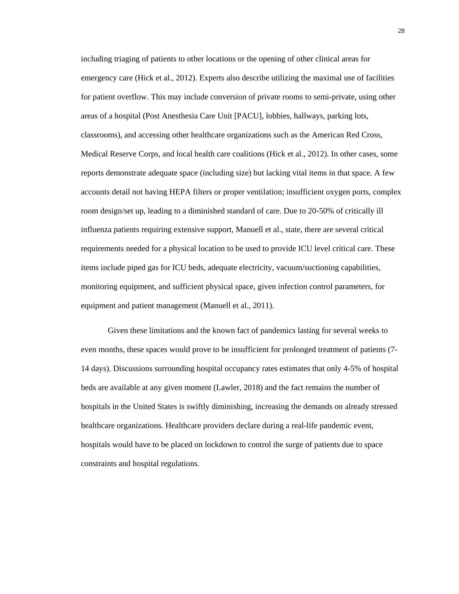including triaging of patients to other locations or the opening of other clinical areas for emergency care (Hick et al., 2012). Experts also describe utilizing the maximal use of facilities for patient overflow. This may include conversion of private rooms to semi-private, using other areas of a hospital (Post Anesthesia Care Unit [PACU], lobbies, hallways, parking lots, classrooms), and accessing other healthcare organizations such as the American Red Cross, Medical Reserve Corps, and local health care coalitions (Hick et al., 2012). In other cases, some reports demonstrate adequate space (including size) but lacking vital items in that space. A few accounts detail not having HEPA filters or proper ventilation; insufficient oxygen ports, complex room design/set up, leading to a diminished standard of care. Due to 20-50% of critically ill influenza patients requiring extensive support, Manuell et al., state, there are several critical requirements needed for a physical location to be used to provide ICU level critical care. These items include piped gas for ICU beds, adequate electricity, vacuum/suctioning capabilities, monitoring equipment, and sufficient physical space, given infection control parameters, for equipment and patient management (Manuell et al., 2011).

Given these limitations and the known fact of pandemics lasting for several weeks to even months, these spaces would prove to be insufficient for prolonged treatment of patients (7- 14 days). Discussions surrounding hospital occupancy rates estimates that only 4-5% of hospital beds are available at any given moment (Lawler, 2018) and the fact remains the number of hospitals in the United States is swiftly diminishing, increasing the demands on already stressed healthcare organizations. Healthcare providers declare during a real-life pandemic event, hospitals would have to be placed on lockdown to control the surge of patients due to space constraints and hospital regulations.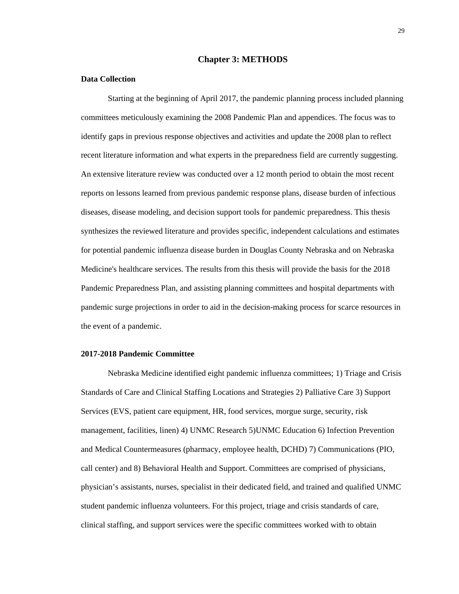#### **Chapter 3: METHODS**

#### <span id="page-36-1"></span><span id="page-36-0"></span>**Data Collection**

Starting at the beginning of April 2017, the pandemic planning process included planning committees meticulously examining the 2008 Pandemic Plan and appendices. The focus was to identify gaps in previous response objectives and activities and update the 2008 plan to reflect recent literature information and what experts in the preparedness field are currently suggesting. An extensive literature review was conducted over a 12 month period to obtain the most recent reports on lessons learned from previous pandemic response plans, disease burden of infectious diseases, disease modeling, and decision support tools for pandemic preparedness. This thesis synthesizes the reviewed literature and provides specific, independent calculations and estimates for potential pandemic influenza disease burden in Douglas County Nebraska and on Nebraska Medicine's healthcare services. The results from this thesis will provide the basis for the 2018 Pandemic Preparedness Plan, and assisting planning committees and hospital departments with pandemic surge projections in order to aid in the decision-making process for scarce resources in the event of a pandemic.

#### <span id="page-36-2"></span>**2017-2018 Pandemic Committee**

Nebraska Medicine identified eight pandemic influenza committees; 1) Triage and Crisis Standards of Care and Clinical Staffing Locations and Strategies 2) Palliative Care 3) Support Services (EVS, patient care equipment, HR, food services, morgue surge, security, risk management, facilities, linen) 4) UNMC Research 5)UNMC Education 6) Infection Prevention and Medical Countermeasures (pharmacy, employee health, DCHD) 7) Communications (PIO, call center) and 8) Behavioral Health and Support. Committees are comprised of physicians, physician's assistants, nurses, specialist in their dedicated field, and trained and qualified UNMC student pandemic influenza volunteers. For this project, triage and crisis standards of care, clinical staffing, and support services were the specific committees worked with to obtain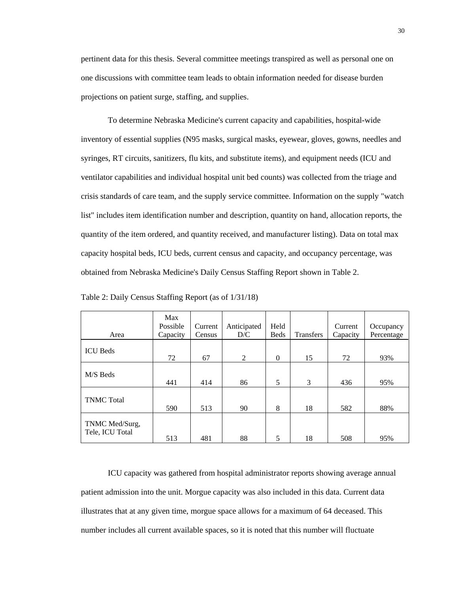pertinent data for this thesis. Several committee meetings transpired as well as personal one on one discussions with committee team leads to obtain information needed for disease burden projections on patient surge, staffing, and supplies.

To determine Nebraska Medicine's current capacity and capabilities, hospital-wide inventory of essential supplies (N95 masks, surgical masks, eyewear, gloves, gowns, needles and syringes, RT circuits, sanitizers, flu kits, and substitute items), and equipment needs (ICU and ventilator capabilities and individual hospital unit bed counts) was collected from the triage and crisis standards of care team, and the supply service committee. Information on the supply "watch list" includes item identification number and description, quantity on hand, allocation reports, the quantity of the item ordered, and quantity received, and manufacturer listing). Data on total max capacity hospital beds, ICU beds, current census and capacity, and occupancy percentage, was obtained from Nebraska Medicine's Daily Census Staffing Report shown in Table 2.

| Area                              | Max<br>Possible<br>Capacity | Current<br>Census | Anticipated<br>D/C | Held<br><b>Beds</b> | <b>Transfers</b> | Current<br>Capacity | Occupancy<br>Percentage |
|-----------------------------------|-----------------------------|-------------------|--------------------|---------------------|------------------|---------------------|-------------------------|
| <b>ICU</b> Beds                   | 72                          | 67                | 2                  | $\Omega$            | 15               | 72                  | 93%                     |
| M/S Beds                          | 441                         | 414               | 86                 | 5                   | 3                | 436                 | 95%                     |
| <b>TNMC</b> Total                 | 590                         | 513               | 90                 | 8                   | 18               | 582                 | 88%                     |
| TNMC Med/Surg,<br>Tele, ICU Total | 513                         | 481               | 88                 | 5                   | 18               | 508                 | 95%                     |

<span id="page-37-0"></span>Table 2: Daily Census Staffing Report (as of 1/31/18)

ICU capacity was gathered from hospital administrator reports showing average annual patient admission into the unit. Morgue capacity was also included in this data. Current data illustrates that at any given time, morgue space allows for a maximum of 64 deceased. This number includes all current available spaces, so it is noted that this number will fluctuate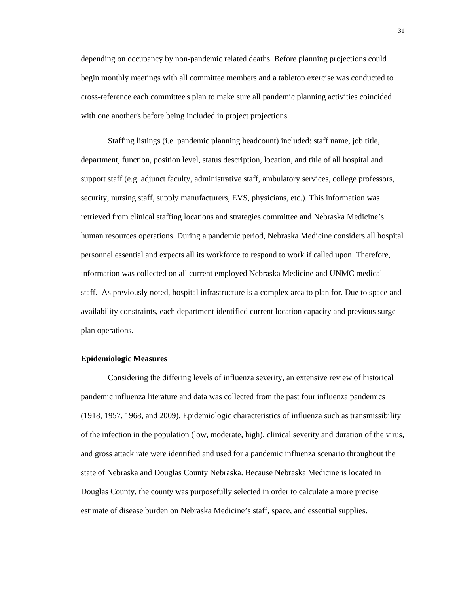depending on occupancy by non-pandemic related deaths. Before planning projections could begin monthly meetings with all committee members and a tabletop exercise was conducted to cross-reference each committee's plan to make sure all pandemic planning activities coincided with one another's before being included in project projections.

Staffing listings (i.e. pandemic planning headcount) included: staff name, job title, department, function, position level, status description, location, and title of all hospital and support staff (e.g. adjunct faculty, administrative staff, ambulatory services, college professors, security, nursing staff, supply manufacturers, EVS, physicians, etc.). This information was retrieved from clinical staffing locations and strategies committee and Nebraska Medicine's human resources operations. During a pandemic period, Nebraska Medicine considers all hospital personnel essential and expects all its workforce to respond to work if called upon. Therefore, information was collected on all current employed Nebraska Medicine and UNMC medical staff. As previously noted, hospital infrastructure is a complex area to plan for. Due to space and availability constraints, each department identified current location capacity and previous surge plan operations.

#### <span id="page-38-0"></span>**Epidemiologic Measures**

Considering the differing levels of influenza severity, an extensive review of historical pandemic influenza literature and data was collected from the past four influenza pandemics (1918, 1957, 1968, and 2009). Epidemiologic characteristics of influenza such as transmissibility of the infection in the population (low, moderate, high), clinical severity and duration of the virus, and gross attack rate were identified and used for a pandemic influenza scenario throughout the state of Nebraska and Douglas County Nebraska. Because Nebraska Medicine is located in Douglas County, the county was purposefully selected in order to calculate a more precise estimate of disease burden on Nebraska Medicine's staff, space, and essential supplies.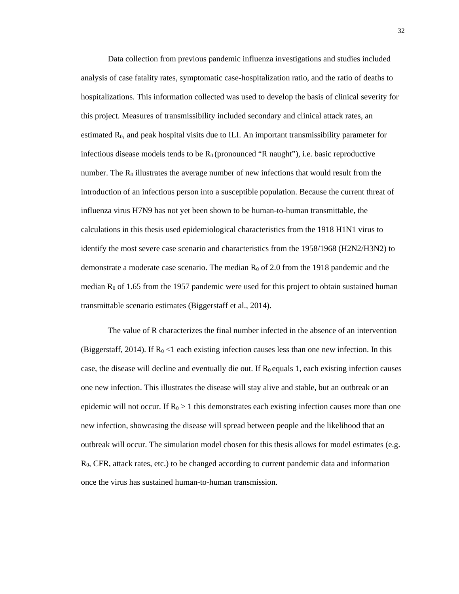Data collection from previous pandemic influenza investigations and studies included analysis of case fatality rates, symptomatic case-hospitalization ratio, and the ratio of deaths to hospitalizations. This information collected was used to develop the basis of clinical severity for this project. Measures of transmissibility included secondary and clinical attack rates, an estimated  $R_0$ , and peak hospital visits due to ILI. An important transmissibility parameter for infectious disease models tends to be  $R_0$  (pronounced "R naught"), i.e. basic reproductive number. The  $R_0$  illustrates the average number of new infections that would result from the introduction of an infectious person into a susceptible population. Because the current threat of influenza virus H7N9 has not yet been shown to be human-to-human transmittable, the calculations in this thesis used epidemiological characteristics from the 1918 H1N1 virus to identify the most severe case scenario and characteristics from the 1958/1968 (H2N2/H3N2) to demonstrate a moderate case scenario. The median  $R_0$  of 2.0 from the 1918 pandemic and the median  $R_0$  of 1.65 from the 1957 pandemic were used for this project to obtain sustained human transmittable scenario estimates (Biggerstaff et al., 2014).

The value of R characterizes the final number infected in the absence of an intervention (Biggerstaff, 2014). If  $R_0 < 1$  each existing infection causes less than one new infection. In this case, the disease will decline and eventually die out. If  $R_0$  equals 1, each existing infection causes one new infection. This illustrates the disease will stay alive and stable, but an outbreak or an epidemic will not occur. If  $R_0 > 1$  this demonstrates each existing infection causes more than one new infection, showcasing the disease will spread between people and the likelihood that an outbreak will occur. The simulation model chosen for this thesis allows for model estimates (e.g.  $R<sub>0</sub>$ , CFR, attack rates, etc.) to be changed according to current pandemic data and information once the virus has sustained human-to-human transmission.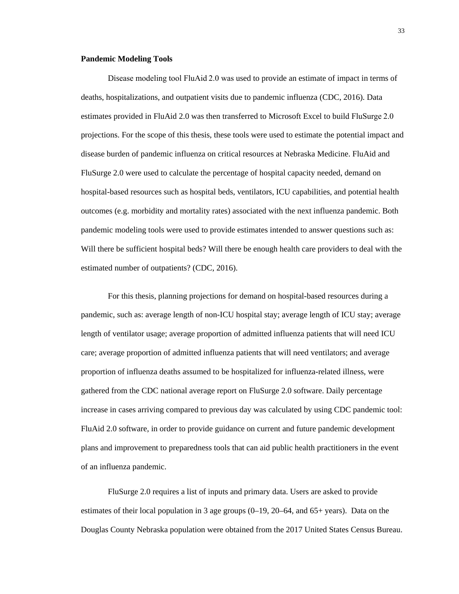#### <span id="page-40-0"></span>**Pandemic Modeling Tools**

Disease modeling tool FluAid 2.0 was used to provide an estimate of impact in terms of deaths, hospitalizations, and outpatient visits due to pandemic influenza (CDC, 2016). Data estimates provided in FluAid 2.0 was then transferred to Microsoft Excel to build FluSurge 2.0 projections. For the scope of this thesis, these tools were used to estimate the potential impact and disease burden of pandemic influenza on critical resources at Nebraska Medicine. FluAid and FluSurge 2.0 were used to calculate the percentage of hospital capacity needed, demand on hospital-based resources such as hospital beds, ventilators, ICU capabilities, and potential health outcomes (e.g. morbidity and mortality rates) associated with the next influenza pandemic. Both pandemic modeling tools were used to provide estimates intended to answer questions such as: Will there be sufficient hospital beds? Will there be enough health care providers to deal with the estimated number of outpatients? (CDC, 2016).

For this thesis, planning projections for demand on hospital-based resources during a pandemic, such as: average length of non-ICU hospital stay; average length of ICU stay; average length of ventilator usage; average proportion of admitted influenza patients that will need ICU care; average proportion of admitted influenza patients that will need ventilators; and average proportion of influenza deaths assumed to be hospitalized for influenza-related illness, were gathered from the CDC national average report on FluSurge 2.0 software. Daily percentage increase in cases arriving compared to previous day was calculated by using CDC pandemic tool: FluAid 2.0 software, in order to provide guidance on current and future pandemic development plans and improvement to preparedness tools that can aid public health practitioners in the event of an influenza pandemic.

FluSurge 2.0 requires a list of inputs and primary data. Users are asked to provide estimates of their local population in 3 age groups  $(0-19, 20-64, 0.006)$  and  $(65+)$  years). Data on the Douglas County Nebraska population were obtained from the 2017 United States Census Bureau.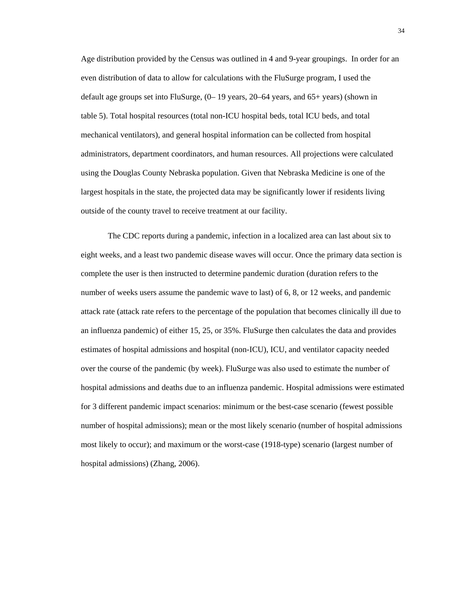Age distribution provided by the Census was outlined in 4 and 9-year groupings. In order for an even distribution of data to allow for calculations with the FluSurge program, I used the default age groups set into FluSurge, (0– 19 years, 20–64 years, and 65+ years) (shown in table 5). Total hospital resources (total non-ICU hospital beds, total ICU beds, and total mechanical ventilators), and general hospital information can be collected from hospital administrators, department coordinators, and human resources. All projections were calculated using the Douglas County Nebraska population. Given that Nebraska Medicine is one of the largest hospitals in the state, the projected data may be significantly lower if residents living outside of the county travel to receive treatment at our facility.

The CDC reports during a pandemic, infection in a localized area can last about six to eight weeks, and a least two pandemic disease waves will occur. Once the primary data section is complete the user is then instructed to determine pandemic duration (duration refers to the number of weeks users assume the pandemic wave to last) of 6, 8, or 12 weeks, and pandemic attack rate (attack rate refers to the percentage of the population that becomes clinically ill due to an influenza pandemic) of either 15, 25, or 35%. FluSurge then calculates the data and provides estimates of hospital admissions and hospital (non-ICU), ICU, and ventilator capacity needed over the course of the pandemic (by week). FluSurge was also used to estimate the number of hospital admissions and deaths due to an influenza pandemic. Hospital admissions were estimated for 3 different pandemic impact scenarios: minimum or the best-case scenario (fewest possible number of hospital admissions); mean or the most likely scenario (number of hospital admissions most likely to occur); and maximum or the worst-case (1918-type) scenario (largest number of hospital admissions) (Zhang, 2006).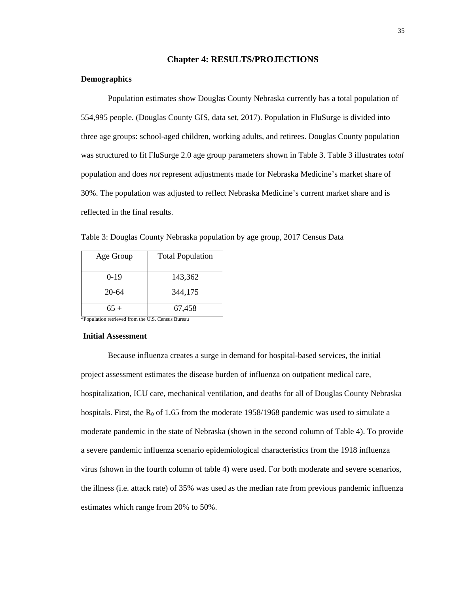#### **Chapter 4: RESULTS/PROJECTIONS**

#### <span id="page-42-1"></span><span id="page-42-0"></span>**Demographics**

Population estimates show Douglas County Nebraska currently has a total population of 554,995 people. (Douglas County GIS, data set, 2017). Population in FluSurge is divided into three age groups: school-aged children, working adults, and retirees. Douglas County population was structured to fit FluSurge 2.0 age group parameters shown in Table 3. Table 3 illustrates *total* population and does *not* represent adjustments made for Nebraska Medicine's market share of 30%. The population was adjusted to reflect Nebraska Medicine's current market share and is reflected in the final results.

<span id="page-42-3"></span>Table 3: Douglas County Nebraska population by age group, 2017 Census Data

| Age Group | <b>Total Population</b> |
|-----------|-------------------------|
| $0-19$    | 143,362                 |
| $20 - 64$ | 344,175                 |
| $65+$     | 67,458                  |

\*Population retrieved from the U.S. Census Bureau

#### <span id="page-42-2"></span>**Initial Assessment**

Because influenza creates a surge in demand for hospital-based services, the initial project assessment estimates the disease burden of influenza on outpatient medical care, hospitalization, ICU care, mechanical ventilation, and deaths for all of Douglas County Nebraska hospitals. First, the  $R_0$  of 1.65 from the moderate 1958/1968 pandemic was used to simulate a moderate pandemic in the state of Nebraska (shown in the second column of Table 4). To provide a severe pandemic influenza scenario epidemiological characteristics from the 1918 influenza virus (shown in the fourth column of table 4) were used. For both moderate and severe scenarios, the illness (i.e. attack rate) of 35% was used as the median rate from previous pandemic influenza estimates which range from 20% to 50%.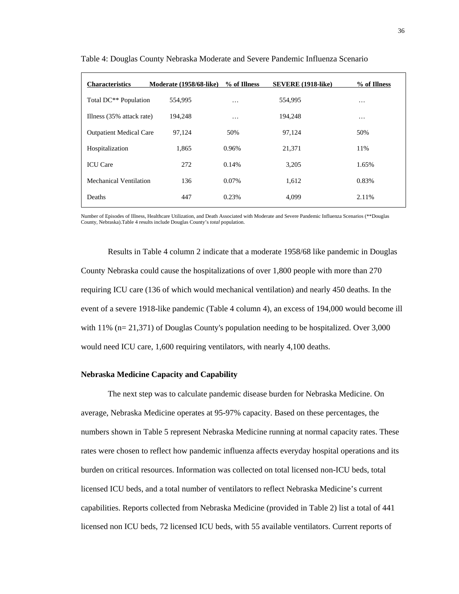| <b>Characteristics</b>            | Moderate (1958/68-like) | % of Illness | <b>SEVERE</b> (1918-like) | % of Illness |
|-----------------------------------|-------------------------|--------------|---------------------------|--------------|
| Total DC <sup>**</sup> Population | 554.995                 | $\cdots$     | 554.995                   | $\cdots$     |
| Illness (35% attack rate)         | 194,248                 | $\cdots$     | 194,248                   | $\cdots$     |
| <b>Outpatient Medical Care</b>    | 97,124                  | 50%          | 97.124                    | 50%          |
| Hospitalization                   | 1,865                   | 0.96%        | 21,371                    | 11%          |
| <b>ICU</b> Care                   | 272                     | 0.14%        | 3,205                     | 1.65%        |
| Mechanical Ventilation            | 136                     | $0.07\%$     | 1,612                     | 0.83%        |
| Deaths                            | 447                     | 0.23%        | 4.099                     | 2.11%        |

<span id="page-43-1"></span>Table 4: Douglas County Nebraska Moderate and Severe Pandemic Influenza Scenario

Number of Episodes of Illness, Healthcare Utilization, and Death Associated with Moderate and Severe Pandemic Influenza Scenarios (\*\*Douglas County, Nebraska).Table 4 results include Douglas County's *total* population.

Results in Table 4 column 2 indicate that a moderate 1958/68 like pandemic in Douglas County Nebraska could cause the hospitalizations of over 1,800 people with more than 270 requiring ICU care (136 of which would mechanical ventilation) and nearly 450 deaths. In the event of a severe 1918-like pandemic (Table 4 column 4), an excess of 194,000 would become ill with 11% (n= 21,371) of Douglas County's population needing to be hospitalized. Over 3,000 would need ICU care, 1,600 requiring ventilators, with nearly 4,100 deaths.

#### <span id="page-43-0"></span>**Nebraska Medicine Capacity and Capability**

The next step was to calculate pandemic disease burden for Nebraska Medicine. On average, Nebraska Medicine operates at 95-97% capacity. Based on these percentages, the numbers shown in Table 5 represent Nebraska Medicine running at normal capacity rates. These rates were chosen to reflect how pandemic influenza affects everyday hospital operations and its burden on critical resources. Information was collected on total licensed non-ICU beds, total licensed ICU beds, and a total number of ventilators to reflect Nebraska Medicine's current capabilities. Reports collected from Nebraska Medicine (provided in Table 2) list a total of 441 licensed non ICU beds, 72 licensed ICU beds, with 55 available ventilators. Current reports of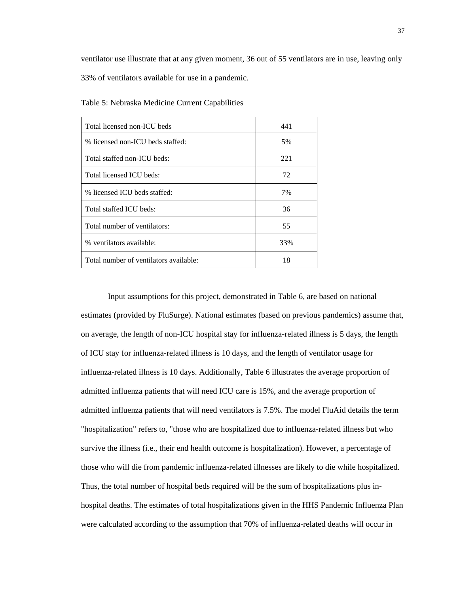ventilator use illustrate that at any given moment, 36 out of 55 ventilators are in use, leaving only 33% of ventilators available for use in a pandemic.

| Total licensed non-ICU beds            | 441 |
|----------------------------------------|-----|
| % licensed non-ICU beds staffed:       | 5%  |
| Total staffed non-ICU beds:            | 221 |
| Total licensed ICU beds:               | 72  |
| % licensed ICU beds staffed:           | 7%  |
| Total staffed ICU beds:                | 36  |
| Total number of ventilators:           | 55  |
| % ventilators available:               | 33% |
| Total number of ventilators available: | 18  |

<span id="page-44-0"></span>Table 5: Nebraska Medicine Current Capabilities

Input assumptions for this project, demonstrated in Table 6, are based on national estimates (provided by FluSurge). National estimates (based on previous pandemics) assume that, on average, the length of non-ICU hospital stay for influenza-related illness is 5 days, the length of ICU stay for influenza-related illness is 10 days, and the length of ventilator usage for influenza-related illness is 10 days. Additionally, Table 6 illustrates the average proportion of admitted influenza patients that will need ICU care is 15%, and the average proportion of admitted influenza patients that will need ventilators is 7.5%. The model FluAid details the term "hospitalization" refers to, "those who are hospitalized due to influenza-related illness but who survive the illness (i.e., their end health outcome is hospitalization). However, a percentage of those who will die from pandemic influenza-related illnesses are likely to die while hospitalized. Thus, the total number of hospital beds required will be the sum of hospitalizations plus inhospital deaths. The estimates of total hospitalizations given in the HHS Pandemic Influenza Plan were calculated according to the assumption that 70% of influenza-related deaths will occur in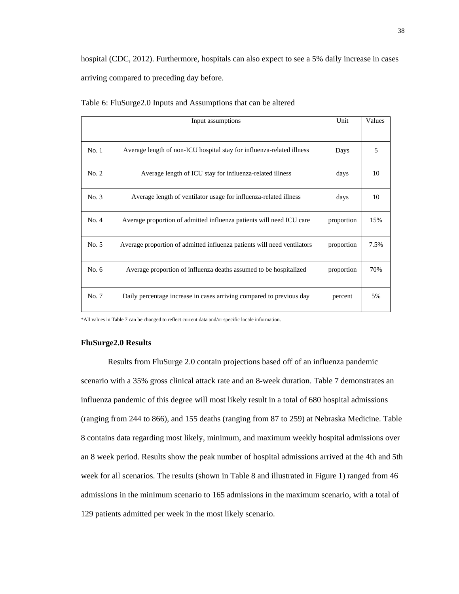hospital (CDC, 2012). Furthermore, hospitals can also expect to see a 5% daily increase in cases arriving compared to preceding day before.

|       | Input assumptions                                                       | Unit       | Values |
|-------|-------------------------------------------------------------------------|------------|--------|
|       |                                                                         |            |        |
| No.1  | Average length of non-ICU hospital stay for influenza-related illness   | Days       | 5      |
| No. 2 | Average length of ICU stay for influenza-related illness                | days       | 10     |
| No. 3 | Average length of ventilator usage for influenza-related illness        | days       | 10     |
| No. 4 | Average proportion of admitted influenza patients will need ICU care    | proportion | 15%    |
| No. 5 | Average proportion of admitted influenza patients will need ventilators | proportion | 7.5%   |
| No. 6 | Average proportion of influenza deaths assumed to be hospitalized       | proportion | 70%    |
| No. 7 | Daily percentage increase in cases arriving compared to previous day    | percent    | 5%     |

<span id="page-45-1"></span>Table 6: FluSurge2.0 Inputs and Assumptions that can be altered

\*All values in Table 7 can be changed to reflect current data and/or specific locale information.

#### <span id="page-45-0"></span>**FluSurge2.0 Results**

<span id="page-45-2"></span>Results from FluSurge 2.0 contain projections based off of an influenza pandemic scenario with a 35% gross clinical attack rate and an 8-week duration. Table 7 demonstrates an influenza pandemic of this degree will most likely result in a total of 680 hospital admissions (ranging from 244 to 866), and 155 deaths (ranging from 87 to 259) at Nebraska Medicine. Table 8 contains data regarding most likely, minimum, and maximum weekly hospital admissions over an 8 week period. Results show the peak number of hospital admissions arrived at the 4th and 5th week for all scenarios. The results (shown in Table 8 and illustrated in Figure 1) ranged from 46 admissions in the minimum scenario to 165 admissions in the maximum scenario, with a total of 129 patients admitted per week in the most likely scenario.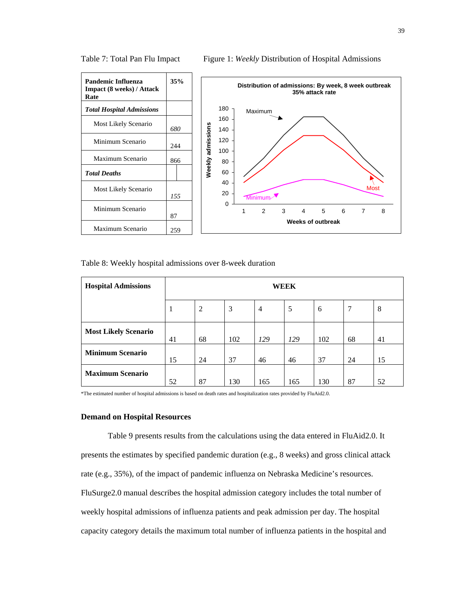



<span id="page-46-1"></span>

|  |  |  | Table 8: Weekly hospital admissions over 8-week duration |
|--|--|--|----------------------------------------------------------|
|--|--|--|----------------------------------------------------------|

| <b>Hospital Admissions</b>  | WEEK |                |     |                |     |     |    |    |
|-----------------------------|------|----------------|-----|----------------|-----|-----|----|----|
|                             | 1    | $\overline{2}$ | 3   | $\overline{4}$ | 5   | 6   | 7  | 8  |
| <b>Most Likely Scenario</b> | 41   | 68             | 102 | 129            | 129 | 102 | 68 | 41 |
| <b>Minimum Scenario</b>     | 15   | 24             | 37  | 46             | 46  | 37  | 24 | 15 |
| <b>Maximum Scenario</b>     | 52   | 87             | 130 | 165            | 165 | 130 | 87 | 52 |

\*The estimated number of hospital admissions is based on death rates and hospitalization rates provided by FluAid2.0.

#### <span id="page-46-0"></span>**Demand on Hospital Resources**

Table 9 presents results from the calculations using the data entered in FluAid2.0. It presents the estimates by specified pandemic duration (e.g., 8 weeks) and gross clinical attack rate (e.g., 35%), of the impact of pandemic influenza on Nebraska Medicine's resources. FluSurge2.0 manual describes the hospital admission category includes the total number of weekly hospital admissions of influenza patients and peak admission per day. The hospital capacity category details the maximum total number of influenza patients in the hospital and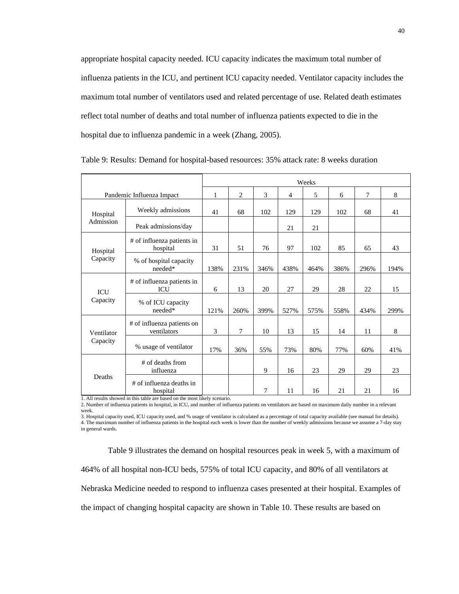appropriate hospital capacity needed. ICU capacity indicates the maximum total number of influenza patients in the ICU, and pertinent ICU capacity needed. Ventilator capacity includes the maximum total number of ventilators used and related percentage of use. Related death estimates reflect total number of deaths and total number of influenza patients expected to die in the hospital due to influenza pandemic in a week (Zhang, 2005).

|                           |                                           | Weeks |      |        |                |      |      |      |      |
|---------------------------|-------------------------------------------|-------|------|--------|----------------|------|------|------|------|
| Pandemic Influenza Impact |                                           | 1     | 2    | 3      | $\overline{4}$ | 5    | 6    | 7    | 8    |
| Hospital<br>Admission     | Weekly admissions                         | 41    | 68   | 102    | 129            | 129  | 102  | 68   | 41   |
|                           | Peak admissions/day                       |       |      |        | 21             | 21   |      |      |      |
| Hospital<br>Capacity      | # of influenza patients in<br>hospital    | 31    | 51   | 76     | 97             | 102  | 85   | 65   | 43   |
|                           | % of hospital capacity<br>needed*         | 138%  | 231% | 346%   | 438%           | 464% | 386% | 296% | 194% |
| <b>ICU</b><br>Capacity    | # of influenza patients in<br><b>ICU</b>  | 6     | 13   | 20     | 27             | 29   | 28   | 22   | 15   |
|                           | % of ICU capacity<br>$\rm needed^*$       | 121%  | 260% | 399%   | 527%           | 575% | 558% | 434% | 299% |
| Ventilator<br>Capacity    | # of influenza patients on<br>ventilators | 3     | 7    | 10     | 13             | 15   | 14   | 11   | 8    |
|                           | % usage of ventilator                     | 17%   | 36%  | 55%    | 73%            | 80%  | 77%  | 60%  | 41%  |
| Deaths                    | # of deaths from<br>influenza             |       |      | 9      | 16             | 23   | 29   | 29   | 23   |
|                           | # of influenza deaths in<br>hospital      |       |      | $\tau$ | 11             | 16   | 21   | 21   | 16   |

<span id="page-47-0"></span>

| Table 9: Results: Demand for hospital-based resources: 35% attack rate: 8 weeks duration |  |
|------------------------------------------------------------------------------------------|--|
|------------------------------------------------------------------------------------------|--|

1. All results showed in this table are based on the most likely scenario.

2. Number of influenza patients in hospital, in ICU, and number of influenza patients on ventilators are based on maximum daily number in a relevant week.

3. Hospital capacity used, ICU capacity used, and % usage of ventilator is calculated as a percentage of total capacity available (see manual for details). 4. The maximum number of influenza patients in the hospital each week is lower than the number of weekly admissions because we assume a 7-day stay in general wards.

Table 9 illustrates the demand on hospital resources peak in week 5, with a maximum of 464% of all hospital non-ICU beds, 575% of total ICU capacity, and 80% of all ventilators at Nebraska Medicine needed to respond to influenza cases presented at their hospital. Examples of the impact of changing hospital capacity are shown in Table 10. These results are based on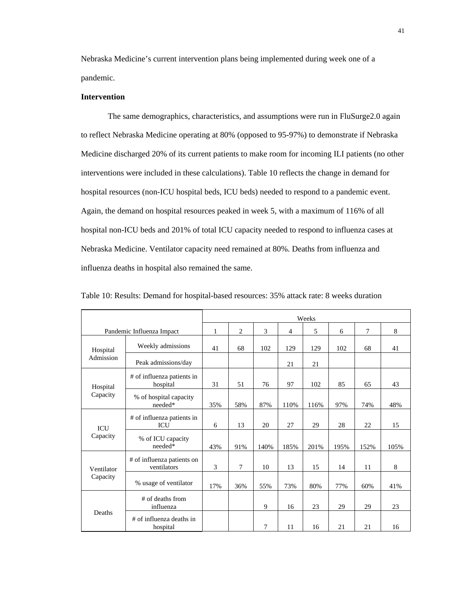Nebraska Medicine's current intervention plans being implemented during week one of a pandemic.

#### <span id="page-48-0"></span>**Intervention**

The same demographics, characteristics, and assumptions were run in FluSurge2.0 again to reflect Nebraska Medicine operating at 80% (opposed to 95-97%) to demonstrate if Nebraska Medicine discharged 20% of its current patients to make room for incoming ILI patients (no other interventions were included in these calculations). Table 10 reflects the change in demand for hospital resources (non-ICU hospital beds, ICU beds) needed to respond to a pandemic event. Again, the demand on hospital resources peaked in week 5, with a maximum of 116% of all hospital non-ICU beds and 201% of total ICU capacity needed to respond to influenza cases at Nebraska Medicine. Ventilator capacity need remained at 80%. Deaths from influenza and influenza deaths in hospital also remained the same.

|                           |                                           | Weeks |        |      |      |      |      |      |      |  |
|---------------------------|-------------------------------------------|-------|--------|------|------|------|------|------|------|--|
| Pandemic Influenza Impact |                                           | 1     | 2      | 3    | 4    | 5    | 6    | 7    | 8    |  |
| Hospital<br>Admission     | Weekly admissions                         | 41    | 68     | 102  | 129  | 129  | 102  | 68   | 41   |  |
|                           | Peak admissions/day                       |       |        |      | 21   | 21   |      |      |      |  |
| Hospital<br>Capacity      | # of influenza patients in<br>hospital    | 31    | 51     | 76   | 97   | 102  | 85   | 65   | 43   |  |
|                           | % of hospital capacity<br>needed*         | 35%   | 58%    | 87%  | 110% | 116% | 97%  | 74%  | 48%  |  |
| <b>ICU</b><br>Capacity    | # of influenza patients in<br>ICU         | 6     | 13     | 20   | 27   | 29   | 28   | 22   | 15   |  |
|                           | % of ICU capacity<br>needed*              | 43%   | 91%    | 140% | 185% | 201% | 195% | 152% | 105% |  |
| Ventilator<br>Capacity    | # of influenza patients on<br>ventilators | 3     | $\tau$ | 10   | 13   | 15   | 14   | 11   | 8    |  |
|                           | % usage of ventilator                     | 17%   | 36%    | 55%  | 73%  | 80%  | 77%  | 60%  | 41%  |  |
| Deaths                    | # of deaths from<br>influenza             |       |        | 9    | 16   | 23   | 29   | 29   | 23   |  |
|                           | # of influenza deaths in<br>hospital      |       |        | 7    | 11   | 16   | 21   | 21   | 16   |  |

<span id="page-48-1"></span>Table 10: Results: Demand for hospital-based resources: 35% attack rate: 8 weeks duration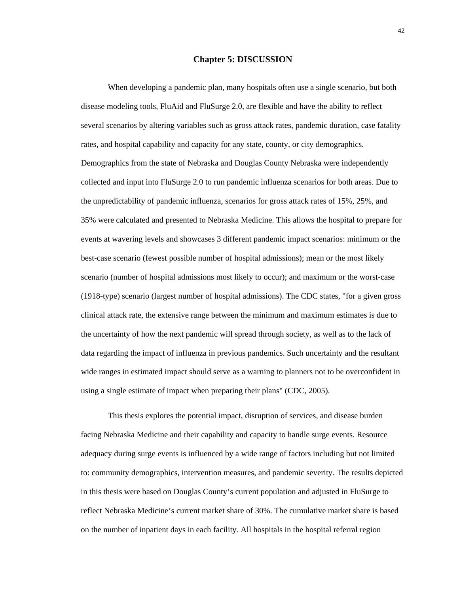#### **Chapter 5: DISCUSSION**

<span id="page-49-0"></span>When developing a pandemic plan, many hospitals often use a single scenario, but both disease modeling tools, FluAid and FluSurge 2.0, are flexible and have the ability to reflect several scenarios by altering variables such as gross attack rates, pandemic duration, case fatality rates, and hospital capability and capacity for any state, county, or city demographics. Demographics from the state of Nebraska and Douglas County Nebraska were independently collected and input into FluSurge 2.0 to run pandemic influenza scenarios for both areas. Due to the unpredictability of pandemic influenza, scenarios for gross attack rates of 15%, 25%, and 35% were calculated and presented to Nebraska Medicine. This allows the hospital to prepare for events at wavering levels and showcases 3 different pandemic impact scenarios: minimum or the best-case scenario (fewest possible number of hospital admissions); mean or the most likely scenario (number of hospital admissions most likely to occur); and maximum or the worst-case (1918-type) scenario (largest number of hospital admissions). The CDC states, "for a given gross clinical attack rate, the extensive range between the minimum and maximum estimates is due to the uncertainty of how the next pandemic will spread through society, as well as to the lack of data regarding the impact of influenza in previous pandemics. Such uncertainty and the resultant wide ranges in estimated impact should serve as a warning to planners not to be overconfident in using a single estimate of impact when preparing their plans" (CDC, 2005).

This thesis explores the potential impact, disruption of services, and disease burden facing Nebraska Medicine and their capability and capacity to handle surge events. Resource adequacy during surge events is influenced by a wide range of factors including but not limited to: community demographics, intervention measures, and pandemic severity. The results depicted in this thesis were based on Douglas County's current population and adjusted in FluSurge to reflect Nebraska Medicine's current market share of 30%. The cumulative market share is based on the number of inpatient days in each facility. All hospitals in the hospital referral region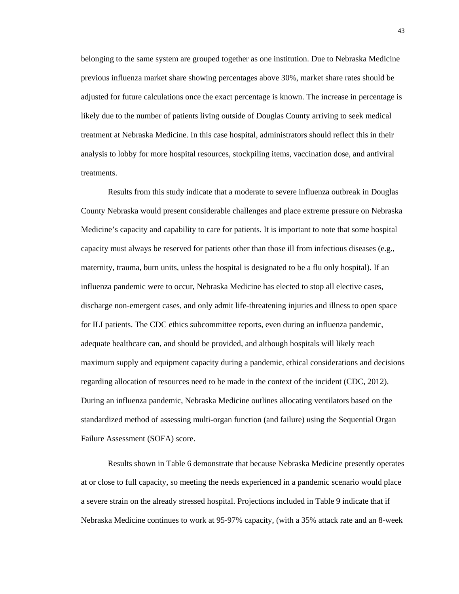belonging to the same system are grouped together as one institution. Due to Nebraska Medicine previous influenza market share showing percentages above 30%, market share rates should be adjusted for future calculations once the exact percentage is known. The increase in percentage is likely due to the number of patients living outside of Douglas County arriving to seek medical treatment at Nebraska Medicine. In this case hospital, administrators should reflect this in their analysis to lobby for more hospital resources, stockpiling items, vaccination dose, and antiviral treatments.

Results from this study indicate that a moderate to severe influenza outbreak in Douglas County Nebraska would present considerable challenges and place extreme pressure on Nebraska Medicine's capacity and capability to care for patients. It is important to note that some hospital capacity must always be reserved for patients other than those ill from infectious diseases (e.g., maternity, trauma, burn units, unless the hospital is designated to be a flu only hospital). If an influenza pandemic were to occur, Nebraska Medicine has elected to stop all elective cases, discharge non-emergent cases, and only admit life-threatening injuries and illness to open space for ILI patients. The CDC ethics subcommittee reports, even during an influenza pandemic, adequate healthcare can, and should be provided, and although hospitals will likely reach maximum supply and equipment capacity during a pandemic, ethical considerations and decisions regarding allocation of resources need to be made in the context of the incident (CDC, 2012). During an influenza pandemic, Nebraska Medicine outlines allocating ventilators based on the standardized method of assessing multi-organ function (and failure) using the Sequential Organ Failure Assessment (SOFA) score.

Results shown in Table 6 demonstrate that because Nebraska Medicine presently operates at or close to full capacity, so meeting the needs experienced in a pandemic scenario would place a severe strain on the already stressed hospital. Projections included in Table 9 indicate that if Nebraska Medicine continues to work at 95-97% capacity, (with a 35% attack rate and an 8-week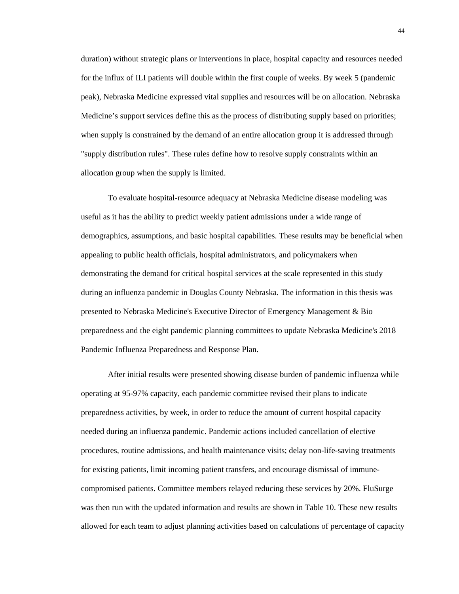duration) without strategic plans or interventions in place, hospital capacity and resources needed for the influx of ILI patients will double within the first couple of weeks. By week 5 (pandemic peak), Nebraska Medicine expressed vital supplies and resources will be on allocation. Nebraska Medicine's support services define this as the process of distributing supply based on priorities; when supply is constrained by the demand of an entire allocation group it is addressed through "supply distribution rules". These rules define how to resolve supply constraints within an allocation group when the supply is limited.

To evaluate hospital-resource adequacy at Nebraska Medicine disease modeling was useful as it has the ability to predict weekly patient admissions under a wide range of demographics, assumptions, and basic hospital capabilities. These results may be beneficial when appealing to public health officials, hospital administrators, and policymakers when demonstrating the demand for critical hospital services at the scale represented in this study during an influenza pandemic in Douglas County Nebraska. The information in this thesis was presented to Nebraska Medicine's Executive Director of Emergency Management & Bio preparedness and the eight pandemic planning committees to update Nebraska Medicine's 2018 Pandemic Influenza Preparedness and Response Plan.

After initial results were presented showing disease burden of pandemic influenza while operating at 95-97% capacity, each pandemic committee revised their plans to indicate preparedness activities, by week, in order to reduce the amount of current hospital capacity needed during an influenza pandemic. Pandemic actions included cancellation of elective procedures, routine admissions, and health maintenance visits; delay non-life-saving treatments for existing patients, limit incoming patient transfers, and encourage dismissal of immunecompromised patients. Committee members relayed reducing these services by 20%. FluSurge was then run with the updated information and results are shown in Table 10. These new results allowed for each team to adjust planning activities based on calculations of percentage of capacity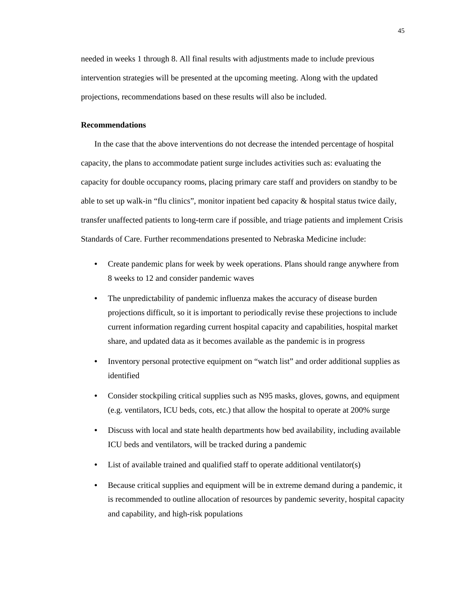needed in weeks 1 through 8. All final results with adjustments made to include previous intervention strategies will be presented at the upcoming meeting. Along with the updated projections, recommendations based on these results will also be included.

#### <span id="page-52-0"></span>**Recommendations**

In the case that the above interventions do not decrease the intended percentage of hospital capacity, the plans to accommodate patient surge includes activities such as: evaluating the capacity for double occupancy rooms, placing primary care staff and providers on standby to be able to set up walk-in "flu clinics", monitor inpatient bed capacity  $\&$  hospital status twice daily, transfer unaffected patients to long-term care if possible, and triage patients and implement Crisis Standards of Care. Further recommendations presented to Nebraska Medicine include:

- Create pandemic plans for week by week operations. Plans should range anywhere from 8 weeks to 12 and consider pandemic waves
- The unpredictability of pandemic influenza makes the accuracy of disease burden projections difficult, so it is important to periodically revise these projections to include current information regarding current hospital capacity and capabilities, hospital market share, and updated data as it becomes available as the pandemic is in progress
- Inventory personal protective equipment on "watch list" and order additional supplies as identified
- Consider stockpiling critical supplies such as N95 masks, gloves, gowns, and equipment (e.g. ventilators, ICU beds, cots, etc.) that allow the hospital to operate at 200% surge
- Discuss with local and state health departments how bed availability, including available ICU beds and ventilators, will be tracked during a pandemic
- List of available trained and qualified staff to operate additional ventilator(s)
- Because critical supplies and equipment will be in extreme demand during a pandemic, it is recommended to outline allocation of resources by pandemic severity, hospital capacity and capability, and high-risk populations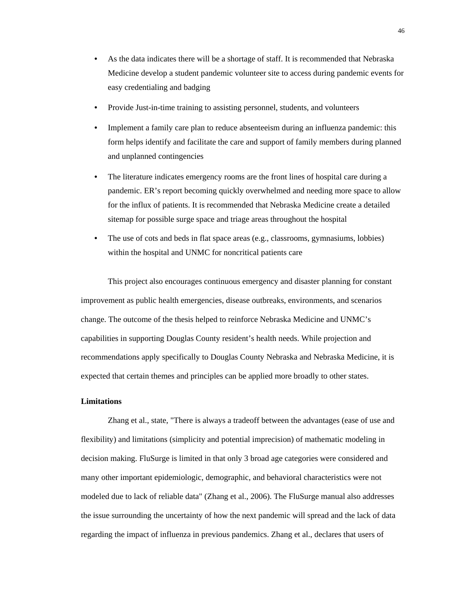- As the data indicates there will be a shortage of staff. It is recommended that Nebraska Medicine develop a student pandemic volunteer site to access during pandemic events for easy credentialing and badging
- Provide Just-in-time training to assisting personnel, students, and volunteers
- Implement a family care plan to reduce absenteeism during an influenza pandemic: this form helps identify and facilitate the care and support of family members during planned and unplanned contingencies
- The literature indicates emergency rooms are the front lines of hospital care during a pandemic. ER's report becoming quickly overwhelmed and needing more space to allow for the influx of patients. It is recommended that Nebraska Medicine create a detailed sitemap for possible surge space and triage areas throughout the hospital
- The use of cots and beds in flat space areas (e.g., classrooms, gymnasiums, lobbies) within the hospital and UNMC for noncritical patients care

This project also encourages continuous emergency and disaster planning for constant improvement as public health emergencies, disease outbreaks, environments, and scenarios change. The outcome of the thesis helped to reinforce Nebraska Medicine and UNMC's capabilities in supporting Douglas County resident's health needs. While projection and recommendations apply specifically to Douglas County Nebraska and Nebraska Medicine, it is expected that certain themes and principles can be applied more broadly to other states.

#### <span id="page-53-0"></span>**Limitations**

Zhang et al., state, "There is always a tradeoff between the advantages (ease of use and flexibility) and limitations (simplicity and potential imprecision) of mathematic modeling in decision making. FluSurge is limited in that only 3 broad age categories were considered and many other important epidemiologic, demographic, and behavioral characteristics were not modeled due to lack of reliable data" (Zhang et al., 2006). The FluSurge manual also addresses the issue surrounding the uncertainty of how the next pandemic will spread and the lack of data regarding the impact of influenza in previous pandemics. Zhang et al., declares that users of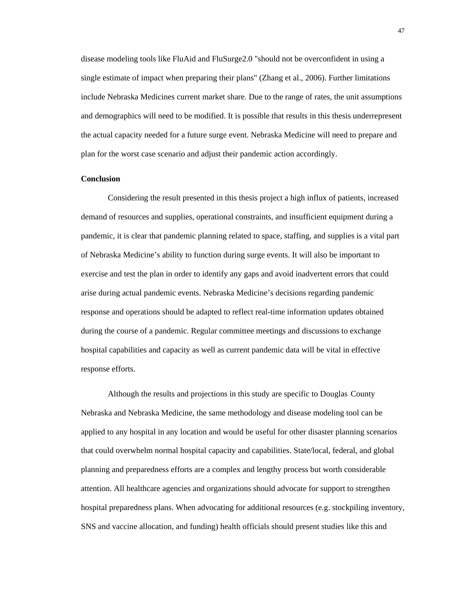disease modeling tools like FluAid and FluSurge2.0 "should not be overconfident in using a single estimate of impact when preparing their plans" (Zhang et al., 2006). Further limitations include Nebraska Medicines current market share. Due to the range of rates, the unit assumptions and demographics will need to be modified. It is possible that results in this thesis underrepresent the actual capacity needed for a future surge event. Nebraska Medicine will need to prepare and plan for the worst case scenario and adjust their pandemic action accordingly.

#### <span id="page-54-0"></span>**Conclusion**

Considering the result presented in this thesis project a high influx of patients, increased demand of resources and supplies, operational constraints, and insufficient equipment during a pandemic, it is clear that pandemic planning related to space, staffing, and supplies is a vital part of Nebraska Medicine's ability to function during surge events. It will also be important to exercise and test the plan in order to identify any gaps and avoid inadvertent errors that could arise during actual pandemic events. Nebraska Medicine's decisions regarding pandemic response and operations should be adapted to reflect real-time information updates obtained during the course of a pandemic. Regular committee meetings and discussions to exchange hospital capabilities and capacity as well as current pandemic data will be vital in effective response efforts.

Although the results and projections in this study are specific to Douglas County Nebraska and Nebraska Medicine, the same methodology and disease modeling tool can be applied to any hospital in any location and would be useful for other disaster planning scenarios that could overwhelm normal hospital capacity and capabilities. State/local, federal, and global planning and preparedness efforts are a complex and lengthy process but worth considerable attention. All healthcare agencies and organizations should advocate for support to strengthen hospital preparedness plans. When advocating for additional resources (e.g. stockpiling inventory, SNS and vaccine allocation, and funding) health officials should present studies like this and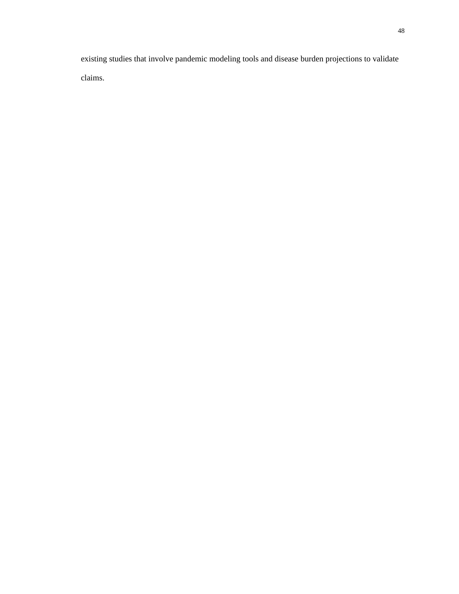existing studies that involve pandemic modeling tools and disease burden projections to validate claims.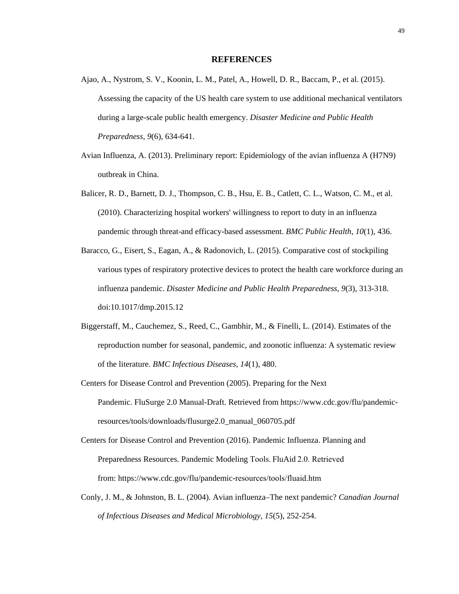#### **REFERENCES**

- <span id="page-56-0"></span>Ajao, A., Nystrom, S. V., Koonin, L. M., Patel, A., Howell, D. R., Baccam, P., et al. (2015). Assessing the capacity of the US health care system to use additional mechanical ventilators during a large-scale public health emergency. *Disaster Medicine and Public Health Preparedness, 9*(6), 634-641.
- Avian Influenza, A. (2013). Preliminary report: Epidemiology of the avian influenza A (H7N9) outbreak in China.
- Balicer, R. D., Barnett, D. J., Thompson, C. B., Hsu, E. B., Catlett, C. L., Watson, C. M., et al. (2010). Characterizing hospital workers' willingness to report to duty in an influenza pandemic through threat-and efficacy-based assessment. *BMC Public Health, 10*(1), 436.
- Baracco, G., Eisert, S., Eagan, A., & Radonovich, L. (2015). Comparative cost of stockpiling various types of respiratory protective devices to protect the health care workforce during an influenza pandemic. *Disaster Medicine and Public Health Preparedness, 9*(3), 313-318. doi:10.1017/dmp.2015.12
- Biggerstaff, M., Cauchemez, S., Reed, C., Gambhir, M., & Finelli, L. (2014). Estimates of the reproduction number for seasonal, pandemic, and zoonotic influenza: A systematic review of the literature. *BMC Infectious Diseases, 14*(1), 480.
- Centers for Disease Control and Prevention (2005). Preparing for the Next Pandemic. FluSurge 2.0 Manual-Draft. Retrieved from https://www.cdc.gov/flu/pandemicresources/tools/downloads/flusurge2.0\_manual\_060705.pdf
- Centers for Disease Control and Prevention (2016). Pandemic Influenza. Planning and Preparedness Resources. Pandemic Modeling Tools. FluAid 2.0. Retrieved from: https://www.cdc.gov/flu/pandemic-resources/tools/fluaid.htm
- Conly, J. M., & Johnston, B. L. (2004). Avian influenza–The next pandemic? *Canadian Journal of Infectious Diseases and Medical Microbiology, 15*(5), 252-254.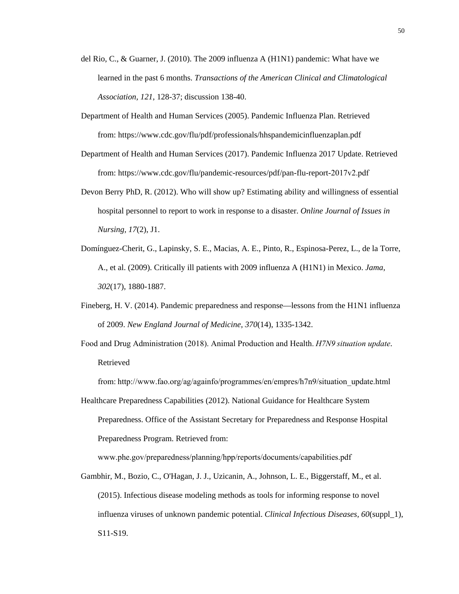- del Rio, C., & Guarner, J. (2010). The 2009 influenza A (H1N1) pandemic: What have we learned in the past 6 months. *Transactions of the American Clinical and Climatological Association, 121*, 128-37; discussion 138-40.
- Department of Health and Human Services (2005). Pandemic Influenza Plan. Retrieved from: https://www.cdc.gov/flu/pdf/professionals/hhspandemicinfluenzaplan.pdf
- Department of Health and Human Services (2017). Pandemic Influenza 2017 Update. Retrieved from: https://www.cdc.gov/flu/pandemic-resources/pdf/pan-flu-report-2017v2.pdf
- Devon Berry PhD, R. (2012). Who will show up? Estimating ability and willingness of essential hospital personnel to report to work in response to a disaster. *Online Journal of Issues in Nursing, 17*(2), J1.
- Domínguez-Cherit, G., Lapinsky, S. E., Macias, A. E., Pinto, R., Espinosa-Perez, L., de la Torre, A., et al. (2009). Critically ill patients with 2009 influenza A (H1N1) in Mexico. *Jama, 302*(17), 1880-1887.
- Fineberg, H. V. (2014). Pandemic preparedness and response—lessons from the H1N1 influenza of 2009. *New England Journal of Medicine, 370*(14), 1335-1342.
- Food and Drug Administration (2018). Animal Production and Health. *H7N9 situation update*. Retrieved

from: http://www.fao.org/ag/againfo/programmes/en/empres/h7n9/situation\_update.html 

Healthcare Preparedness Capabilities (2012). National Guidance for Healthcare System Preparedness. Office of the Assistant Secretary for Preparedness and Response Hospital Preparedness Program. Retrieved from:

www.phe.gov/preparedness/planning/hpp/reports/documents/capabilities.pdf  

Gambhir, M., Bozio, C., O'Hagan, J. J., Uzicanin, A., Johnson, L. E., Biggerstaff, M., et al. (2015). Infectious disease modeling methods as tools for informing response to novel influenza viruses of unknown pandemic potential. *Clinical Infectious Diseases, 60*(suppl\_1), S11-S19.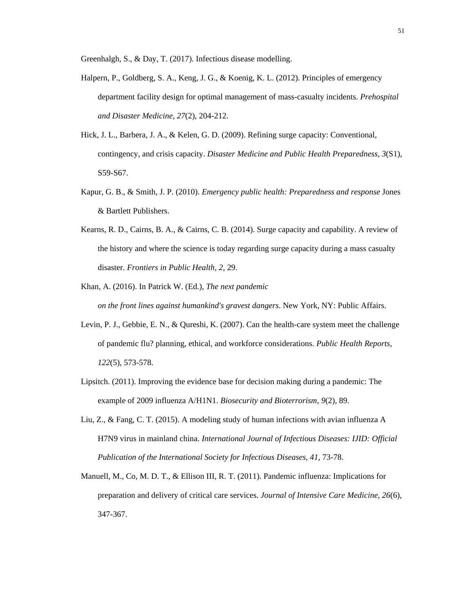Greenhalgh, S., & Day, T. (2017). Infectious disease modelling.

- Halpern, P., Goldberg, S. A., Keng, J. G., & Koenig, K. L. (2012). Principles of emergency department facility design for optimal management of mass-casualty incidents. *Prehospital and Disaster Medicine, 27*(2), 204-212.
- Hick, J. L., Barbera, J. A., & Kelen, G. D. (2009). Refining surge capacity: Conventional, contingency, and crisis capacity. *Disaster Medicine and Public Health Preparedness, 3*(S1), S59-S67.
- Kapur, G. B., & Smith, J. P. (2010). *Emergency public health: Preparedness and response* Jones & Bartlett Publishers.
- Kearns, R. D., Cairns, B. A., & Cairns, C. B. (2014). Surge capacity and capability. A review of the history and where the science is today regarding surge capacity during a mass casualty disaster. *Frontiers in Public Health, 2*, 29.
- Khan, A. (2016). In Patrick W. (Ed.), *The next pandemic on the front lines against humankind's gravest dangers*. New York, NY: Public Affairs.
- Levin, P. J., Gebbie, E. N., & Qureshi, K. (2007). Can the health-care system meet the challenge of pandemic flu? planning, ethical, and workforce considerations. *Public Health Reports, 122*(5), 573-578.
- Lipsitch. (2011). Improving the evidence base for decision making during a pandemic: The example of 2009 influenza A/H1N1. *Biosecurity and Bioterrorism, 9*(2), 89.
- Liu, Z., & Fang, C. T. (2015). A modeling study of human infections with avian influenza A H7N9 virus in mainland china. *International Journal of Infectious Diseases: IJID: Official Publication of the International Society for Infectious Diseases, 41*, 73-78.
- Manuell, M., Co, M. D. T., & Ellison III, R. T. (2011). Pandemic influenza: Implications for preparation and delivery of critical care services. *Journal of Intensive Care Medicine, 26*(6), 347-367.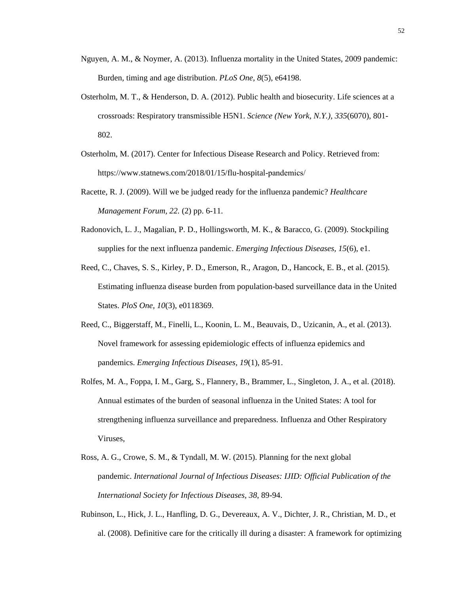- Nguyen, A. M., & Noymer, A. (2013). Influenza mortality in the United States, 2009 pandemic: Burden, timing and age distribution. *PLoS One, 8*(5), e64198.
- Osterholm, M. T., & Henderson, D. A. (2012). Public health and biosecurity. Life sciences at a crossroads: Respiratory transmissible H5N1. *Science (New York, N.Y.), 335*(6070), 801- 802.
- Osterholm, M. (2017). Center for Infectious Disease Research and Policy. Retrieved from: https://www.statnews.com/2018/01/15/flu-hospital-pandemics/
- Racette, R. J. (2009). Will we be judged ready for the influenza pandemic? *Healthcare Management Forum, 22.* (2) pp. 6-11.
- Radonovich, L. J., Magalian, P. D., Hollingsworth, M. K., & Baracco, G. (2009). Stockpiling supplies for the next influenza pandemic. *Emerging Infectious Diseases, 15*(6), e1.
- Reed, C., Chaves, S. S., Kirley, P. D., Emerson, R., Aragon, D., Hancock, E. B., et al. (2015). Estimating influenza disease burden from population-based surveillance data in the United States. *PloS One, 10*(3), e0118369.
- Reed, C., Biggerstaff, M., Finelli, L., Koonin, L. M., Beauvais, D., Uzicanin, A., et al. (2013). Novel framework for assessing epidemiologic effects of influenza epidemics and pandemics. *Emerging Infectious Diseases, 19*(1), 85-91.
- Rolfes, M. A., Foppa, I. M., Garg, S., Flannery, B., Brammer, L., Singleton, J. A., et al. (2018). Annual estimates of the burden of seasonal influenza in the United States: A tool for strengthening influenza surveillance and preparedness. Influenza and Other Respiratory Viruses,
- Ross, A. G., Crowe, S. M., & Tyndall, M. W. (2015). Planning for the next global pandemic. *International Journal of Infectious Diseases: IJID: Official Publication of the International Society for Infectious Diseases, 38*, 89-94.
- Rubinson, L., Hick, J. L., Hanfling, D. G., Devereaux, A. V., Dichter, J. R., Christian, M. D., et al. (2008). Definitive care for the critically ill during a disaster: A framework for optimizing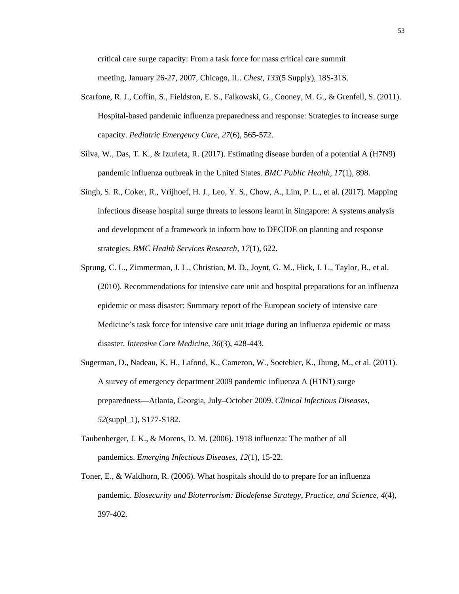critical care surge capacity: From a task force for mass critical care summit meeting, January 26-27, 2007, Chicago, IL. *Chest, 133*(5 Supply), 18S-31S.

- Scarfone, R. J., Coffin, S., Fieldston, E. S., Falkowski, G., Cooney, M. G., & Grenfell, S. (2011). Hospital-based pandemic influenza preparedness and response: Strategies to increase surge capacity. *Pediatric Emergency Care, 27*(6), 565-572.
- Silva, W., Das, T. K., & Izurieta, R. (2017). Estimating disease burden of a potential A (H7N9) pandemic influenza outbreak in the United States. *BMC Public Health, 17*(1), 898.
- Singh, S. R., Coker, R., Vrijhoef, H. J., Leo, Y. S., Chow, A., Lim, P. L., et al. (2017). Mapping infectious disease hospital surge threats to lessons learnt in Singapore: A systems analysis and development of a framework to inform how to DECIDE on planning and response strategies. *BMC Health Services Research, 17*(1), 622.
- Sprung, C. L., Zimmerman, J. L., Christian, M. D., Joynt, G. M., Hick, J. L., Taylor, B., et al. (2010). Recommendations for intensive care unit and hospital preparations for an influenza epidemic or mass disaster: Summary report of the European society of intensive care Medicine's task force for intensive care unit triage during an influenza epidemic or mass disaster. *Intensive Care Medicine, 36*(3), 428-443.
- Sugerman, D., Nadeau, K. H., Lafond, K., Cameron, W., Soetebier, K., Jhung, M., et al. (2011). A survey of emergency department 2009 pandemic influenza A (H1N1) surge preparedness—Atlanta, Georgia, July–October 2009. *Clinical Infectious Diseases, 52*(suppl\_1), S177-S182.
- Taubenberger, J. K., & Morens, D. M. (2006). 1918 influenza: The mother of all pandemics. *Emerging Infectious Diseases, 12*(1), 15-22.
- Toner, E., & Waldhorn, R. (2006). What hospitals should do to prepare for an influenza pandemic. *Biosecurity and Bioterrorism: Biodefense Strategy, Practice, and Science, 4*(4), 397-402.